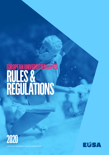# **EUROPEAN UNIVERSITIES GAMES RULES & REGULATIONS**



EUROPEAN UNIVERSITY SPORTS ASSOCIATION

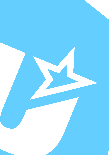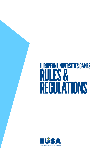# **EUROPEAN UNIVERSITIES GAMES RULES & REGULATIONS**

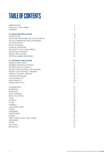## **TABLE OF CONTENTS**

| <b>ABBREVIATIONS</b>                       | 5  |
|--------------------------------------------|----|
| FREQUENTLY USED TERMS                      | 5  |
| PREAMBLE                                   | 6  |
| <b>01. RULES AND REGULATIONS</b>           | 6  |
| <b>INTRODUCTION</b>                        | 6  |
| RIGHTS AND RESPONSIBILITIES OF EUSA AND OC | 6  |
| THE EUG COMMISSIONS AND OTHER BODIES       | 8  |
| <b>EUG PARTICIPANTS</b>                    | 10 |
| <b>ENTRY PROCEDURE</b>                     | 11 |
| <b>FINANCIAL CONDITIONS</b>                | 13 |
| ARCHIVES OF THE EUG DOCUMENTS              | 13 |
| DISCIPLINARY PROTOCOL                      | 14 |
| MEDICAL REGULATIONS                        | 15 |
| PROTOCOL/AWARD CEREMONIES                  | 16 |
| <b>02. TECHNICAL REGULATIONS</b>           | 17 |
| <b>GENERAL SPORT RULES</b>                 | 17 |
| REFEREES AND MATCH OFFICIALS               | 17 |
| REFEREES CODE OF CONDUCT                   | 18 |
| COMPETITORS EQUIPMENT AND UNIFORMS         | 18 |
| <b>GENERAL AND TECHNICAL HANDBOOK</b>      | 19 |
| <b>GENERAL TECHNICAL MEETING</b>           | 19 |
| THE DRAW PROCEDURE                         | 19 |
| <b>EUSA RANKING LIST</b>                   | 19 |
| <b>MATCH RESULTS</b>                       | 20 |
| AWARDS AND TITLES                          | 21 |
| 3x3 BASKETBALL                             | 22 |
| <b>BADMINTON</b>                           | 23 |
| <b>BASKETBALL</b>                          | 24 |
| <b>BEACH HANDBALL</b>                      | 25 |
| <b>BEACH VOLLEYBALL</b>                    | 26 |
| <b>CHESS</b>                               | 27 |
| <b>FOOTBALL</b>                            | 28 |
| <b>FUTSAL</b>                              | 29 |
| HANDBALL                                   | 30 |
| <b>JUDO &amp; PARA JUDO</b>                | 31 |
| KARATE                                     | 33 |
| KICKBOXING                                 | 34 |
| ORIENTEERING                               | 35 |
| <b>ROWING</b>                              | 36 |
| TABLE TENNIS & PARA TABLE TENNIS           | 37 |
| <b>TAEKWONDO</b>                           | 39 |
| <b>TENNIS</b>                              | 40 |
| VOLLEYBALL                                 | 41 |
| WATER POLO                                 | 42 |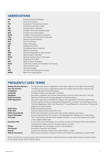## ABBREVIATIONS

| <b>ATD</b>  | Assistant Technical Delegate                    |
|-------------|-------------------------------------------------|
| СC          | Control Commission                              |
| <b>CTC</b>  | <b>Competition Technical Commission</b>         |
| EC          | Executive Committee of EUSA                     |
| <b>ESF</b>  | European Sports Federation                      |
| <b>EUC</b>  | European Universities Championships             |
| <b>EUG</b>  | European Universities Games                     |
| <b>EUSA</b> | European University Sports Association          |
| <b>FISU</b> | International University Sports Federation      |
| <b>GTM</b>  | <b>General Technical Meeting</b>                |
| <b>HCP</b>  | <b>Host City Partners</b>                       |
| HoD         | Head of Delegation                              |
| <b>IEF</b>  | Individual Entry Form                           |
| <b>ISF</b>  | International Sports Federation                 |
| <b>MC</b>   | <b>Medical Commission</b>                       |
| <b>MOR</b>  | Minimum Organisational Requirements             |
| <b>NSF</b>  | National Sports Federation                      |
| <b>NUSA</b> | National University Sports Association          |
| <b>OC</b>   | Organising Committee                            |
| <b>RSF</b>  | Regional Sports Federation                      |
| <b>SCAC</b> | Supervision, Control and Arbitration Commission |
| TC          | <b>Technical Commission</b>                     |
| <b>TD</b>   | <b>Technical Delegate</b>                       |
| <b>VCC</b>  | <b>Volunteers Coordinating Commission</b>       |
| <b>WADA</b> | World Anti-Doping Agency                        |
|             |                                                 |

## FREQUENTLY USED TERMS

| <b>Bidding City Host Partners</b><br><b>Host City Partners</b><br><b>Competition</b><br>Competitor<br><b>Delegation</b><br><b>EUSA Convention</b><br><b>EUSA Regulations</b> | The NUSA and its partner organizations which apply together for the right to host the EUG.<br>The NUSA and its partner organizations which are awarded with the right to host the EUG.<br>1 (one) of the sports of the EUG program.<br>Accredited student, who takes part in the EUG.<br>Accredited competitors and officials representing a university which takes part in the EUG.<br>Meeting of EUSA and OC technical delegates and representatives.<br>Documents approved by the EUSA EC related to the organization of the EUG (Guidelines for<br>the EUG organizer, Minimum Organizational Requirements and Sports Technical Requirements,<br>Technical Regulations, Health care Regulations, Protocol Regulations, Disciplinary Protocol and<br>Guidelines for EUSA Awards) |
|------------------------------------------------------------------------------------------------------------------------------------------------------------------------------|------------------------------------------------------------------------------------------------------------------------------------------------------------------------------------------------------------------------------------------------------------------------------------------------------------------------------------------------------------------------------------------------------------------------------------------------------------------------------------------------------------------------------------------------------------------------------------------------------------------------------------------------------------------------------------------------------------------------------------------------------------------------------------|
| <b>EUSA Office</b>                                                                                                                                                           | EUSA professional personnel                                                                                                                                                                                                                                                                                                                                                                                                                                                                                                                                                                                                                                                                                                                                                        |
| <b>EUSA Staff</b>                                                                                                                                                            | EUSA permanent and temporary personnel                                                                                                                                                                                                                                                                                                                                                                                                                                                                                                                                                                                                                                                                                                                                             |
| <b>EUSA Visual Identity</b>                                                                                                                                                  | EUSA brand introduced in components: logo, symbol, typefaces and colours.                                                                                                                                                                                                                                                                                                                                                                                                                                                                                                                                                                                                                                                                                                          |
| <b>Head of Delegation</b>                                                                                                                                                    | A person appointed from the members of the delegation who officially acts on their behalf.                                                                                                                                                                                                                                                                                                                                                                                                                                                                                                                                                                                                                                                                                         |
| <b>Host team</b>                                                                                                                                                             | Team representing University which organizes the EUG, or in case of its absence the hosting<br>country highest ranked team.                                                                                                                                                                                                                                                                                                                                                                                                                                                                                                                                                                                                                                                        |
| <b>Inspection Visit</b>                                                                                                                                                      | A visit of the venues and facilities to be used for the EUG conducted by EUSA representatives<br>combined with meeting with the OC and providers of services                                                                                                                                                                                                                                                                                                                                                                                                                                                                                                                                                                                                                       |
| <b>Official</b>                                                                                                                                                              | Accredited adult non-competitor member of the delegation.                                                                                                                                                                                                                                                                                                                                                                                                                                                                                                                                                                                                                                                                                                                          |
| <b>Participants</b>                                                                                                                                                          | Accredited competitors and officials.                                                                                                                                                                                                                                                                                                                                                                                                                                                                                                                                                                                                                                                                                                                                              |
| Referee                                                                                                                                                                      | A person who officiates matches, also called Umpire or Judge.                                                                                                                                                                                                                                                                                                                                                                                                                                                                                                                                                                                                                                                                                                                      |
| <b>Referee Association</b>                                                                                                                                                   | National governing body in charge of referees and refereeing, recognized by respective NSF.                                                                                                                                                                                                                                                                                                                                                                                                                                                                                                                                                                                                                                                                                        |

Words importing the masculine gender shall include the feminine. Words of the plural number shall include the singular. Words of the singular number shall include the plural.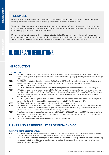## PREAMBLE

European Universities Games – multi-sport competitions of the European University Sports Association, held every two years for university teams and individual students nominated by their National University Sport Associations.

The goal of the EUG is to support the organisation, development and coordination of sport and sports competitions; to encourage good governance in sport as well as education of youth through sport and to build up close friendly relations in European university community by means of sport alongside with education.

EUG is a non-profit event, which is carried out in Olympic Spirit and a Fair Play manner, where no discrimination is allowed against any country or person on the ground of gender, ethnic origin, cultural background, sexual orientation, religion, or political affiliations. The winners of the competitions are awarded with the title "The European Universities Champion".

## **01. RULES AND REGULATIONS**

## INTRODUCTION

#### GENERAL TERMS

- REG 1 The EUG is organised in EUSA and Olympic spirit by which no discrimination is allowed against any country or person on grounds of race, gender, religion or political affiliation. The essence of Fair Play is highly encouraged and appreciated throughout the EUG.
- REG 2 The EUSA EC will attribute the rights to host the EUG to Bidding HCP four (4) years prior to the start of the EUG, based on a written bid document. EUSA members (NUSAs) will be notified about the bidding procedure in due course.
- **REG 3** The EUG is organised in every even year.
- REG 4 The EUG structure as well as the number of competitors/teams per country for any competition will be decided by EUSA.
- REG 5 EUSA EC members, commissions members and EUSA Staff are involved in the process of preparation, execution and reporting of the EUG. For each of the EUG, the EUSA EC appoints the following EUG bodies: SVC, SCAC, CTC, CC and VCC. In case the EUG is organized in more than one city, EUSA has rights to establish specific bodies, as defined in these regulations, separately for each city.
- REG 6 The EUSA logotype should appear on all the publications, official documents and video materials of the OC, on the podium and on all the billboards in the competition venues, as defined in the EUSA Visual Identity and MOR.
- **REG 7** The EUSA official language is English, and shall be used in all kind of communications.
- REG 8 The EUSA and the OC will amicable cooperate and in case of any disagreement, dispute or claim, both will make their best efforts to find a solution. In case the disputes, disagreements or claims cannot be settled by amicable means, the court of Arbitration for Sport in Lausanne (Switzerland) shall have sole jurisdiction.
- REG 9 These Rules and Regulations apply to all activities of the EUG. EUSA EUG 2020 Master Plan, MOR, Technical Regulations, Disciplinary Protocol, Medical Regulations, Protocol/Awards Ceremonies Regulations and Guidelines for EUSA Awards are integral component of this document.
- REG 10 EUSA EC is responsible for the interpretation of EUSA Rules and Regulations.

## RIGHTS AND RESPONSIBILITIES OF EUSA AND OC

#### RIGHTS AND RESPONSIBILITIES OF EUSA

- REG 11 All rights in relation to the EUG are reserved to EUSA. EUSA is the exclusive owner of all trademarks, trade name, service mark, emblem, slogan, designation of (or other indication of a relationship with) EUSA or the EUG.
- REG 12 EUSA will invite the member NUSAs to participate in the EUG and publish the EUSA Regulations together with the following information: the EUG competition dates and place; entry procedure, financial conditions; maximum number of teams/competitors and contact data of the OC.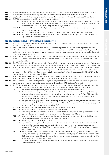- REG 13 EUSA shall receive an entry and additional (if applicable) fees from the participating NUSA / University team / Competitor.
- REG 14 EUSA shall not be responsible for any claim for loss, injury or damage arising from the holding of the EUG.
- REG 15 EUSA shall receive all documents, photo, audio, video and other materials from the OC, defined in EUSA Regulations.
- REG 16 EUSA EC may cancel the whole EUG or one or more competitions:
	- REG 16.1 at any time in a state of war, civil disorder, boycott, embargo decreed by the international community or in a situation officially recognized as one of belligerence or if EUSA has reasonable grounds to believe that the safety of participants in the EUG would be seriously threatened or jeopardized;
	- REG 16.2 at any time if there is a violation by the OC of any material obligation under attribution agreement or applicable law or these regulations;
	- REG 16.3 up to six (6) months prior to the EUG, in case OC does not fulfil EUSA Rules and Regulations and MOR;
	- REG 16.4 up to three (3) months prior to the EUG if the number of registered teams/competitors is not sufficient for the regularity of this/these competition(s).

#### RIGHTS AND RESPONSIBILITIES OF THE ORGANIZING COMMITTEE

- REG 17 The HCP may delegate its duties and obligations to an OC. The HCP shall nevertheless be directly responsible to EUSA and will report to the EUSA EC.
- REG 18 The OC shall organize the EUG according to the EUSA Rules and Regulations and ISF and/or ESF regulations. All costs related to the organization shall be covered by the OC. In addition, OC has responsibility for all registered participants in the period from their arrival to designated arrival point until their departure from designated departure points (during the period of official days of the respective sport).
- REG 19 The OC shall publish the contact data of the EUG office, with website and social media channels which would be operational within two (2) months after attribution of the EUG. The contact phone and email shall be handled by a person with fluent command of English.
- REG 20 The OC shall ensure that all NUSAs are kept fully informed of all the necessary technical and other arrangements. That includes the maintenance of an appropriate website, with recommended updates as it is determined in the EUSA – EUG 2020 Master Plan.
- REG 21 The OC shall have appropriate contracts with human resources, services and material providers, owners of all venues which will work and will be used in the EUG as per dates agreed in EUSA – EUG 2020 Master Plan. The OC shall have the letter of support from the NSF for each of the sport in the EUG program and shall establish cooperation with at least RSF for the organization of the sport competition in the EUG.
- REG 22 The OC shall be responsible for insurance against all claims for loss, or damage to goods arising from the holding of the EUG. The OC shall be responsible to have appropriate insurance in case of cancelation of the EUG.
- REG 23 The OC is entitled to collect a participation fee per person and per day, to get financial, material and service support from public and private sectors, under certain circumstances as defined in the EUG Attribution Agreement.
- REG 24 The OC shall provide and is responsible for the following services for the accredited participants for a period of at least three (3) days prior the first (1st) day of competition and two (2) days after the closing ceremony, respecting the MOR:
	- REG 24.1 the accommodation agreed on by the EUSA EC on the occasion of the attribution of the EUG;
	- REG 24.2 the transportation for all participants from their arrival until their departure day from the designated pick-up points on official arrival and departure days (international airport, bus or train station)/official EUG competition and non-competition venues. Access to individual means of transport for the EUSA representatives shall be ensured at any time during the EUG;
	- REG 24.3 the sport venues, playing grounds, materials and equipment, officially recognized by the appropriate ESF/ISF and approved by the TD. The OC shall inform all teams/competitors of the type and brand of the selected equipment at least three (3) months prior to the start of the EUG;
	- REG 24.4 the referees and match officials for the effective running of the competitions;
	- REG 24.5 the accreditation cards issued by the EUSA accreditation system;
	- REG 24.6 a necessary and efficient information system, as per REG 20, to keep the participants duly informed of the program and the results of the EUG and other relevant information about competitions;
	- REG 24.7 adequate medical assistance, hygiene standards, catering, doping control (optionally, if agreed by EUSA in advance), security and safety assistance, during the period of the EUG.
	- REG 24.8 the opening, awards and closing ceremonies;
	- REG 24.9 appoint the head of departments responsible for volunteers, media, marketing, IT, result management, sports, accommodation, transportation, catering, protocol, medical, security and other organizational areas, who will cooperate with EUSA SVC and EUSA Office from the attribution of the EUG until its conclusion (when all arrangements are fulfilled).
	- REG 24.10 the sufficient number of staff, volunteers and other personnel for the smooth organization of the EUG; OC personnel, who are dealing with participants and EUSA, shall speak fluently English. The OC shall participate in the EUSA volunteer program; OC provides free of charge internal transportation, accommodation and full board for a minimum of four (4) volunteers per sport.
	- REG 24.11 sufficient number of premises, office equipment and supplies, mobile communication system for EUSA representatives as defined in MOR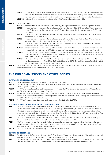- REG 24.12 to use names of participating teams in English as provided by EUSA Office; the country name may be used in addition, and shall be used in accordance with MOR. If the use of the name of a University is not possible due to technical reasons, then the abbreviation shall be used in every single document, Result Management and Live Stream.
- REG 24.13 fulfilling all other requirements determined in EUSA Rules and Regulations and MOR.

#### REG 25 The OC shall cover:

- REG 25.1 the cost of travel and participation of at least two (2) OC representatives to the EUC/EUG organized before;
- **REG 25.2** the costs of travel, accommodation and full board for inspection visit of the SVC up to five (5) members (up to three (3) times per year from attribution of the EUG on) and inspection visit (if requested only) for EUSA representatives.
- REG 25.3 the costs of travel, accommodation and full board up to three (3) OC representatives at all EUSA conventions from attribution of the EUG on;
- REG 25.4 the costs of travel, accommodation and full board up to three (3) OC representatives at all EUSA conferences and General Assemblies in the preceding two (2) years of the EUG;
- REG 25.5 the costs of travel, accommodation and full board for OC representatives to Executive Committee meetings from attribution onwards, if requested by EUSA;
- REG 25.6 the organization of EUSA EC meeting in the year of the attribution of the EUG, as well as accommodation, local transportation and full board of EUSA EC members, staff and guests (up to twenty (20) persons, 3 nights);
- REG 25.6 the organization of EUSA convention as well as travel (including all additional travel costs), accommodation and full board of EUSA TD, Commissions and Staff members (in addition to TDs, up to ten (10) persons, 4 nights), at latest fifteen (15) months prior to the EUG start.
- REG 25.7 The costs of travel (including all additional travel costs), accommodation and full board at the time of the EUG for the representatives of EUSA (EUSA Staff (up to 25 persons), SCAC, Competition, Medical, Technical, Control and Volunteers Coordinating Commission members)
- REG 26 The OC shall report to the EUSA SVC on organisational progress and shall submit to EUSA Office, at its own cost all documents and materials, as it is determined in EUSA – EUG Master plan 2020.

### THE EUG COMMISSIONS AND OTHER BODIES

#### SUPERVISION COMMISSION (SVC)

- REG 27 The SVC supervises the organization of the EUG on behalf of the EUSA.
- REG 28 The EUSA EC appoints the SVC members at the time of the EUG attribution. The mandate of the SVC members terminates with the beginning of the EUG.
- REG 29 The SVC is composed of: up to three (3) representatives of the EC, the EUSA Secretary General and the EUSA Sports Manager. The SVC chair is the representative of the EC.
- REG 30 SVC Members shall cooperate in a way to find compromise whenever possible. In case of voting, decisions will be taken by a majority of all present and voting. In the case of equality of votes, the SVC chair shall have a casting vote. All decisions taken by the SVC shall be implemented by the OC.
- **REG 31** The SVC shall regularly report the organizational progress of the EUG to the EUSA EC.

#### SUPERVISION, CONTROL AND ARBITRATION COMMISSION (SCAC)

- REG 32 The SCAC is the highest authority of the EUG and controls overall organizational and technical aspects of the EUG. The SCAC is responsible for the interpretation of EUSA Rules and Regulations and MOR, for the supervision and smooth running of the EUG, settling any dispute, examining and dealing with any complaints or protests of a non-technical nature, taking emergency sanctions against participants (teams or individuals) who violate the EUSA Rules and Regulations, deciding of any other matters not covered in these Regulations, at the time of the EUG.
- REG 33 The SCAC is composed by: SVC members, OC chair, OC Project Director and two (2) other OC representatives; lead by SVC chair. The mandate of the SCAC members terminates with the conclusion of the EUG.
- REG 34 SCAC Members shall cooperate in a way to find compromise whenever possible. In case of voting, decisions will be taken by a simple majority of those present and voting. In case of equality of votes, the SCAC Chair shall have a casting vote. All decisions taken by the SCAC at the time of the EUG are final.
- **REG 35** The SCAC Chair shall submit a written report to the EUSA EC after the EUG.

#### CONTROL COMMISSION (CC)

- REG 36 The CC is responsible for the accreditation of the EUG participants. They control the authenticity of the entries, the academic status of the competitors, the payment of EUSA entry fee and if necessary, collect it.
- REG 37 The EUSA EC appoints chair and two (2) CC members for each city of the EUG, prior to the start of the EUG. The CCis coordinated and supervised by SCAC. The mandate of the CC members terminates with the conclusion of the EUG.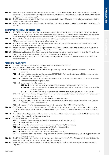- REG 38 If the official(s) of a delegation deliberately misinform(s) the CC about the eligibility of a competitor(s), the team of the sport concerned will be excluded from further participation in the current event: such fraud could be grounds for the termination of that country's membership of EUSA.
- REG 39 The CC authorizes participation in the EUG by issuing accreditation card. If CC refuses to authorize participation, the HoD may challenge this decision to the SCAC.
- REG 40 The CC shall regularly report to SCAC during the EUG and shall submit a written report to the EUSA Office immediately after the EUG.

#### COMPETITION TECHNICAL COMMISSION (CTC)

- REG 41 The CTC is responsible for: confirming the competition system (format) and daily schedule, dealing with any complaints or protests of technical nature and taking sanctions of a technical nature, appointing additional bodies and allocating responsibilities which might be required by rules of the concerned ISF/ESF or by necessities of the competition.
- REG 42 The EUSA EC shall set up a CTC for each competition in the EUG program, prior to the start of the EUG. The mandate of the CTC members terminates with the conclusion of the competition.
- REG 43 The CTC is composed of: the EUSA EC representative who is the chair; two (2) OC representatives, EUSA TD and the ATD. The CTC is supervised by and reports to SCAC.
- REG 44 The chair of the CTC together with SCAC representative, two (2) days prior to the start of the competition, shall convene a CTC meeting and a GTM one (1) day prior to the start of the competition.
- REG 45 CTC decisions will be taken by a simple majority of those present and voting. In case of equality of votes, the CTC chair shall have a casting vote. All decisions taken by the CTC, when agreed with SCAC are final.
- REG 46 The CTC chair shall regularly report to SCAC during the competition and shall submit a written report to the EUSA Office immediately after EUG.

#### TECHNICAL DELEGATE (TD)

- REG 47 EUSA EC appoints the TD and the ATD(s) for each sport in the program of the EUG.
- REG 48 Prior to the start of the competition, the TD shall:
	- REG 48.1 maintain close cooperation with the EUSA Sports Manager and with the representative of the OC for the sport concerned,
		- REG 48.2 ensure that the regulations of the respective ESF/ISF, EUSA Technical Regulations and MOR are observed in the phase of preparation of the competition,
		- REG 48.3 inspect the sports venues, equipment and materials to be used during the competition, at the time of EUSA Convention and/or additional inspection visits,
		- REG 48.4 gather exact information related to:
			- **REG 48.4.1** the number and performance level of the participating teams and/or competitors,
			- REG 48.4.2 the number and qualification of the referees and match officials provided by OC and/or proposed by participating teams,
			- REG 48.4.3 the number and quality of sports equipment and materials, play grounds and sports venues,
		- REG 48.5 supervise a system for the appointment of referees and other match officials. TD shall confirm the referees latest two (2) months before the start of competition,
		- REG 48.6 determine the provisional competition system (format) and schedule,
		- REG 48.7 together with the OC representative, prepare the Technical Handbook of the competition at least one (1) month prior to the EUG for SVC authorization,
		- REG 48.8 prepare PowerPoint presentation at least one (1) week before the GTM for SVC authorization.
- REG 49 One (1) day prior to the start of the competition, the TD shall convene a technical meeting to which they shall invite: ATD, EUSA Sports Manager, appointed referees, referee observers (if nominated), OC responsible for sport and match officials (if needed).
- REG 50 TD shall actively participate in the GTM by presenting the Technical Regulations and together with the SCAC representative by making a draw according to Technical Regulations.
- **REG 51** During the competition, the TD shall:
	- REG 51.1 maintain close cooperation with the SCAC representative and members of CTC,
	- REG 51.2 assign duties to the ATD,
	- **REG 51.3** manage the competition in accordance with the EUSA and ESF/ISF regulations,
	- REG 51.4 manage and appoint referees and match officials for the competition,
	- REG 51.5 treat and solve technical protests and technical issues,
	- REG 51.6 confirm results of matches and final teams/individuals standings,
	- REG 51.7 participate in the Opening and Closing ceremony (if it is in the period of competition), and actively participate in the Awards ceremony.
- REG 52 The TD shall regularly report to SCAC, and shall submit a written report to the EUSA Office immediately after the inspection visit and after the EUG (including any nomination for Fair Play Award).
- REG 53 The TD shall observe, follow and respect "Technical Delegate Rights, Duties and Responsibilities" document and EUSA Regulations.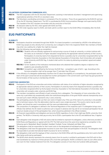#### VOLUNTEERS COORDINATING COMMISSION (VCC)

- REG 54 The VCC cooperates with the OC Volunteer Department, assisting in international volunteers' management and supervising organizational activities of the OC on volunteers' area.
- REG 55 The Volunteers coordinating commission is composed of five (5) members. Three (3) are appointed by the EUSA EC and two (2) by the OC Volunteer Department. The VCC is coordinated by EUSA Communications Manager and supervised by SCAC. The mandate of the VCC members terminates with the conclusion of the EUG.
- REG 56 All decisions taken by the VCC, when agreed with SCAC are final.
- REG 57 The VCC shall regularly report to SCAC, and shall submit a written report to the EUSA Office immediately after the EUG.

## EUG PARTICIPANTS

#### **ELIGIBILITY**

- REG 58 Participants should be nominated through their NUSA. If no team/competitor is nominated by a NUSA in the defined term, EUSA may accept an entry directly from a University, but is obliged to inform the respective NUSA. Non-members of EUSA may enter via a waiting list; a higher fee might be imposed.
- REG 59 Only the following may participate as competitors:
	- REG 59.1 Students who are officially registered for and pursuing a course of study at: university, or similar institute with the status as an institution of higher education recognised by the appropriate national authority of their country. Participation of university teams from disputed territories is possible only for universities recognized either by the European University Association or the International Association of Universities. Such Universities will compete under University and EUSA flag. A student shall confirm his status by delivering completed, signed and sealed EUSA IEF.
	- REG 59.2 former students of the institutions mentioned above who obtained their academic degree or diploma in the academic year preceding the EUG.
	- REG 59.3 Competitor's age is defined by the formula: the EUG Year competitor's year of birth = age. According to this formula competitor shall not be younger than 17 and older than 30 years.
- REG 60 If the official(s) of a delegation deliberately misinform the CC about the eligibility of a competitor(s), the participant and the team of the sport concerned will be excluded from further participation in the current event: such fraud may give grounds for the termination of that country's membership of EUSA.

#### COMPETING UNIVERSITIES

- REG 61 Participants of the EUG are universities and similar institutions with status of an institution of higher education recognised by an appropriate national authority of their country. Participation of university teams from disputed territories is possible only for universities recognized either by the European University Association or the International Association of Universities. Such universities will compete under university and EUSA flag.
- REG 62 The members (competitors and officials) of each university form a delegation. The integration of more universities of the same city is permitted only exceptionally within the institutional designation of the given NUSA national championship structure and such a team officially represents only 1 (one) university.
- REG 63 The participating universities shall use their own name in English only. If the use of the name of a university is not possible due to technical reasons, then the abbreviation shall be used in every single document. The country name may be used in addition, and should be used in accordance with the name and abbreviation, as recognised by EUSA.
- REG 64 The composition of a delegation is defined in the Technical Regulations of the respective sport. If a delegation brings more officials than defined, the OC needs to authorise such a request in advance and may ask for an increased participation fee (at maximum double amount of the participation fee), which should be published in the official invitation.
- REG 65 All financial responsibilities and obligations are borne by NUSA regardless of who in fact might pay (NUSA, university, third parties). The NUSA or University shall pay an entry fee to EUSA, a participation fee to the OC and additional fees, if applicable.
- REG 66 Each delegation shall designate a HoD who alone shall be entitled to represent his delegation, unless otherwise provided in EUSA Rules and Regulations or agreed with the CTC The HoD cannot be at the same time registered as competitor in the following sports: Basketball, Beach Handball, Handball, Football, Futsal, Volleyball and Water Polo.
- REG 67 The delegations shall be responsible for their travel costs to the designated arrival/departure pick-up points.
- REG 68 The delegations shall have the appropriate insurance to cover their travel and participation in the EUG. The delegation shall be responsible to provide international health insurance for all its members.
- REG 69 The delegations shall send the logotype of their university to the EUSA Office with the quantitative entry form and to the OC after being confirmed as participant.
- REG 70 The NUSA which directly represents the university teams from its country is entitled to participate in the EUG with its General Coordination by maximum of three percent (3%) of all their participants. NUSA is entitled to claim its own office and its own room for their medical treatment from OC, if its delegation consists of more than one hundred (100) participants.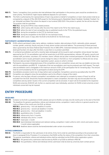- REG 71 Teams / competitors from countries who had withdrawn their participation in the previous years would be considered at a lower priority. The EUSA EC might impose additional deposits for such teams.
- REG 72 The HoD or authorised by him representative of team may protest on behalf of competitors or team. Each protest shall be accompanied by a deposit of fifty (50) EUR except for the following sports: Basketball, Beach Handball, Handball, Football, Futsal, Volleyball and Water Polo where the deposit is two hundred (200) EUR. If the protest is upheld, the fee will be returned. The protests shall be submitted:
	- REG 72.1 during the GTM for draw related protests
	- **REG 72.2** within twenty (20) minutes after the end of the match to the TD for the match issues,
	- REG 72.3 before the start of next competition day on published results to the TD for the published issues,
	- REG 72.4 during the competition to the CTC for technical issues,
	- REG 72.5 during the competition to the SCAC for non-technical issues,
	- REG 72.6 within seven (7) days after the EUG to the EUSA EC for the EUG issues.

#### PARTICIPANTS' ACCREDITATION CARDS

- REG 73 EUSA collects participant's data: name, address, residence, location, date and place of birth, nationality, photo, passport number, gender, university, faculty and year of study, phone number and email address. The processing of these personal data is governed by the Swiss Federal Data Protection Act of 1992 (DPA). Collected individual entries in hard copies shall be destroyed fourteen (14) days after the EUG, in case there is no protest submitted.
- REG 74 A numbered accreditation card with a recently taken photograph will be issued to each competitor whose dossier has been approved by the CC. An accreditation card will be issued also to all EUSA representatives, referees, VIP guests, security and medical staff, journalists, volunteers, OC members, teams' officials and all other involved participants in the EUG. When the accreditation card is issued, participant cannot change his status in the EUG (i.e. from competitor to official and vice versa). Electronic data are kept in EUSA online registration system, access to which is limited.
- REG 75 Participants may access designated areas of the competition and non-competition venues and may use eligible services only with the accreditation card.REG 76 A duplicate of the lost accreditation card may be produced upon HoD request. The duplicate accreditation card is chargeable in the maximum amount of 50% of the participation fee for remaining days. The amount shall be communicated by the OC to participants at latest during the GTM.
- REG 76 Accreditation procedure starts two (2) days before each competition. Competitors cannot be accredited after the GTM.
- REG 77 Competitors are obliged to show the accreditation card to the official in charge of the match.
- REG 78 If a person, who has been refused a competitor's accreditation card, attempts to compete by means of fraud, he will be excluded from the EUG. Should this fraud be attempted in a team competition, the team may also be excluded from the competition and any earlier results in the current competition will be annulled. A report will be forwarded to the respective NUSA and university. EUSA EC will, further on, examine each case individually, sanctions for NUSA or/and university or/and individuals concerned may be imposed.

### ENTRY PROCEDURE

#### DEADLINES

- REG 79 Invitation to the EUG is published on EUSA website and sent to NUSAs normally nine (9) months prior to the start of the EUG.
- REG 80 The deadlines for general, quantitative, referee and individual entries, competitors' match uniforms in general would be normally on fifteen of the month prior the EUG, as follows:
	- REG 80.1 general entry first call deadline: 6 months
	- REG 80.2 general entry second call deadline: 5 months
	- REG 80.3 general entry third call deadline: 4 months
	- REG 80.4 quantitative entry: 3 months
	- REG 80.5 referee entry form: 3 months
	- REG 80.6 individual entry forms: 1 month
	- REG 80.7 travel plan: 1 month
	- REG 80.8 team/individual international and national ranking, competitors' match uniforms (shirt, shorts and socks) colours: 1 month (where applicable)
	- REG 80.9 deadlines above could be shortened/extended under certain circumstances.

#### ENTRIES SUBMISSION

- REG 81 The NUSA is responsible for the submission of all entries. Entry forms shall be submitted according to the procedure laid down in paragraph Entry Procedure. It is compulsory that NUSA verifies the status of the competitors from their universities.
- REG 82 The general, quantitative, referee and individual entries shall be submitted via the EUSA online registration system: **REG 82.1** the general entry submission shall be done by NUSA or by EUSA as defined in REG 58.

REG 82.2 the quantitative, referee and individual entries submission shall be done by university team contact person.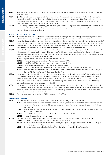- REG 83 Only general entries with deposits paid within the defined deadlines will be considered. The general entries are validated by the EUSA Office.
- REG 84 Quantitative entry will be considered only if the composition of the delegation is in agreement with the Technical Regulations and in-line with the official days of the EUG. If the confirmed university does not submit the Quantitative entry within the deadline, participation fee for the maximum allowed number of competitors and officials as determined in the Technical Regulation of the sport concerned can be imposed by the OC.
- REG 85 The NUSA may nominate more than one (1) team in each sport of the EUG program. If more than one team is nominated, the nomination shall define a NUSA ranking order to enable seeding. It is highly recommended to nominate teams from previous national universities championship year.

#### NUMBER OF PARTICIPATING TEAMS

- REG 86 Only one NUSA team will be considered at the first call deadline of the general entry, namely the team being the winner of national championship. In case this is not possible, the teams with the next national ranking may participate.
- REG 87 In case the allowed maximum number of teams is not reached within the general entry first call deadline, the second call of the general entry is observed, where the second team nominated by NUSA can be accepted, by criterion "first pay-first serve".
- REG 88 If general entry second call is open, winner of the previous year event (EUC) has special rights ("wild card") to enter the competition in the corresponding sport under the same conditions and criteria valid for other teams.
- REG 89 In case the allowed maximum number of teams is not reached within the general entry second call deadline, the third call of the general entry is observed, where the third, fourth and/or fifth team and/or second team from the same university nominated by NUSA can be accepted, on the criterion "first pay-first serve" and by respecting the maximum allowed number of teams in the EUG from the same NUSA, as follows:
	- **REG 89.1** up to 8 teams maximum 2 teams from the same NUSA
	- REG 89.2 from 9 up to 12 teams maximum 3 teams from the same NUSA
	- REG 89.3 from 13 up to 16 teams maximum 4 teams from the same NUSA
	- REG 89.4 17 and more teams maximum 5 teams from the same NUSA
	- REG 89.5 the host team and winner of previous year competition (REG 87) do not count in the NUSA quota
	- REG 89.6 REG 89.1-REG 89.5 do not apply to: 3x3 Basketball, Judo, Beach Handball, Beach Volleyball, Chess, Karate, Kickboxing, Orienteering, Rowing, Taekwondo and Water Polo.
- REG 90 In case after the first call deadline of the general entry, the maximum allowed number of teams in Badminton, Basketball, 3x3 Basketball, Beach Handball, Beach Volleyball, Football, Futsal, Handball, Table Tennis, Tennis, Volleyball and Water Polo is exceeded, the maximum number may be raised by factor 2 or 4, in agreement with the OC, as follows: from 8 to 10, from 10 to 12, from 12 to 16 and all next by factor 4. If such enlargement is applied, and if needed, the competition may be extended by one (1) day, in prior agreement with the OC.
- REG 91 In case after the second call deadline of the general entry, the maximum allowed number of teams in Badminton, Basketball, 3x3 Basketball, Beach Handball Beach Volleyball, Football, Futsal, Handball, Table Tennis, Tennis, Volleyball and Water Polo cannot be reached, the maximum number of teams will be lowered by factor 4 or 2, as follows: from 24 to 20, from 20 to 16, from 16 to 12, from 12 to 10 and from 10 to 8.
- **REG 92** The maximum number of teams in the EUG is approved by EUSA Office.

#### PARTICIPANTS DOSSIER

- REG 93 The delegation dossier to be presented to the CC shall be completed in English and shall include:
	- REG 93.1 team list with names, surnames and functions of each delegation member; in addition: team/competitor international and national ranking, competitors shirt number and competition uniforms colour (if required by Technical Regulations),
	- REG 93.2 HoD or team representative and coach (if present) mobile phone number on which is/are reachable 24 hours per day during the competition,
	- REG 93.3 signed EUSA Code of Conduct (Disciplinary Protocol) within Individual Entry Form.
	- REG 93.4 the individual dossier for each competitor.
- REG 94 The individual dossier for each competitor to be presented to the CC shall be completed in English and include:
	- REG 94.1 a passport or national identity card (in classic Latin alphabet letters);
	- REG 94.2 if a current student: signed and sealed EUSA IEF originating from the appropriate academic authority certifying that the competitor is officially registered for and pursuing a course of study;
	- REG 94.3 if a former student: signed and sealed proof from the university (including date of graduation).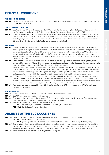## FINANCIAL CONDITIONS

#### THE BIDDING COMMITTEE

REG 95 Bidding fee – EUSA shall receive a bidding fee from Bidding HCP. The deadlines will be decided by EUSA EC for each call. Bidding fee is non-refundable.

#### THE ORGANIZING COMMITTEE

- REG 96 EUSA service fee EUSA shall receive from the HCP the attribution fee and activity fee. Attribution fee shall be paid within one (1) month after attribution, while Activity fee – within one (1) month after the conclusion of the EUG.
- REG 97 Guarantee fee in order to assure that all financial and organizational arrangements described in EUSA Rules and Regulations are fulfilled. EUSA shall receive a guarantee fee from the OC. The guarantee fee will be deducted from the deposits paid by participating teams to EUSA, in the amount of 10% of all collected deposits. The guarantee fee will be transferred to the OC immediately after the end of the EUG, when all arrangements are fulfilled.

#### **PARTICIPANTS**

- REG 98 Deposit EUSA shall receive a deposit together with the general entry form according to the general entries procedure, where applicable. Only general entries with deposits paid within the defined deadlines will be considered. The general entry deposits will be deducted from the total fees for the participating teams, and will be returned to those NUSA s/teams not selected (confirmed). In case of a forfeit/withdrawal after being confirmed, the deposit is non-refundable and is equally shared between EUSA and the OC. EUSA will transfer the deposit in the due time, e.g. after the end of the event when the OC obligations are fulfilled.
- REG 99 Participation fee the OC will receive a participation fee per person per night for each member of the delegation (referees are exempt from payment). The participation fee shall be paid by each participant for the duration of their respective sport. In case of cancellation, OC is responsible for dealing with participation fee policies. Participation fee covers the following services during official days: internal transportation, accommodation, catering, compe-

tition, ceremonies and other services in accordance with EUSA Rules and Regulations. 50% of the total sum of the participation fee, without considering general entry deposit, shall be paid until the quantitative entry deadline, and the balance of the participation latest by the Individual entry deadline. OC is responsible for dealing with participation fee payments.

- REG 100 EUSA entry fee EUSA shall receive an entry fee from competitors, officials, NUSA representatives and other participants (referees are exempt from payment). The EUSA entry fee deadlines will be decided by EUSA EC. Only quantitative entries with EUSA entry fee paid within the defined deadlines will be considered. In case of a forfeit/withdrawal after being confirmed and in case fewer delegation members participate in the competition, the EUSA entry fee is non-refundable.
- REG 101 Refund requests must be made within sixty (60) days after conclusion of EUG. Only requests using EUSA Refund Request Form will be considered.

#### **MISCELLANEOUS**

- REG 102 All fees are determined by the EUSA EC not later than the date of attribution of the EUG.
- REG 103 EUSA EC has the right to introduce additional fees.
- REG 104 All payments shall be received in Euro currency (EUR) without any local or international bank transfer fees, with the exception of the host teams in regards to their payments to the HCP and the OC.
- REG 105 If the whole EUG, or one or more competitions are cancelled:
- **REG 105.1** the deposits, the participation fees and the EUSA entry fees are refunded. REG 105.2 the attribution fee is not refundable.

### ARCHIVES OF THE EUG DOCUMENTS

REG 106 From EUG 2012 on, EUSA Office keeps archives of the electronic documents of the EUG, as follows: REG 106.1 competition results and statistics,

REG 106.2 general, quantitative, referee and individual entries (database in the EUSA online registration system).

- REG 107 Dealing with the documents should be according to the laws of the country, where the documents are kept. Accessibility to the documents is possible through request to the EUSA Office. If the request is justifiable, the applicant will get the requested information in an official letter or email. Originals and copies of the documents cannot be distributed to anyone.
- REG 108 The archived EUG documents, may be destroyed if EUSA EC agrees.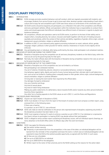## DISCIPLINARY PROTOCOL

#### DSC 1 INTRODUCTION

- DSC 1.1 EUSA strongly promotes excellent behaviour and self-conduct, which are regularly associated with students, and encourages students from across Europe to get to know each other, develop a greater understanding of each other's culture and to enjoy fair and competitive sport. EUSA sees those values as cornerstones of the universities sport.
- **DSC 1.2** All EUSA events should be enjoyed by all participants, as is reflected in the oath of the competitors and officials and every participant (athlete, official, and spectator) within the institution have a responsibility to conduct themselves and should appreciate that different individuals have different levels of tolerance in regards to playful and boisterous behaviour.
- **DSC 1.3** All competitors, officials and spectators seek at all EUSA events, to perform to the best of their ability and to respect others, including diversity, fan culture, inclusion and health together with the aim of treating everyone equitably and sensitively, within the context of their activity and ability, regardless of gender, ethnic origin, cultural background, sexual orientation, religion or political affiliation.
- DSC 1.4 In addition to DSC 1.3, zero tolerance policy against promoting incitement on racial, national, ethnic, gender, language, religion, political or other grounds for hatred, violence, intolerance or insults of one's dignity will be enforced.
- **DSC 1.5** Any participating team or individual, after being confirmed by the draw, shall participate in all scheduled matches.

#### DSC 2 BREACHES OF DISCIPLINE DURING THE COMPETITION

- DSC 2.1 Breaches of discipline during the competition are all and every disciplinary incidents on the field of play, within the rules as set out by the governing body for that sport.
- **DSC 2.2** Normally, the match officials deal with the breaches of discipline during competition, based on the rules as set out by the governing body for that sport.

#### DSC 3 BREACHES OF DISCIPLINE OUT OF THE COMPETITION

- **DSC 3.1** Breaches of discipline out of the competition are, but not limited to, as follows:
	- Not participating in all scheduled matches
	- Any act of violence, threatening, abusive, obscene or provocative behaviour, conduct or language
	- Any behaviour against rights, dignity and worth of every human being and their ultimate right to self-determina-

tion, such as but not limited to, treating others unequally based on their gender, ethnic origin, cultural background, sexual orientation, religion or political affiliation

- Arriving later or leaving the event earlier than required by the official dates
- Any damage of property whatsoever
- Any use of alcohol and drugs
- Any kind of sexual abuse
- Any kind of match fixing whatsoever

Making any public statements of a defamatory nature towards EUSA and/or towards any other person/institution bound by these regulations

Any other form of acting opposite to the EUSA values as set in DSC 1.1. and this Rules and Regulations.

#### **DSC 4** THE DISCIPLINARY PROCEDURE

- **DSC 4.1** Anyone can report breach of discipline to SCAC.
- **DSC 4.2** SCAC must decide in 24 hours from the report of the breach of conduct and must compose a written report, using enclosed form, in the following cases:
	- If there was a hearing
	- If a sanction, as set in DSC 5.1, was enforced;
- DSC 4.3 SCAC will make an internal notification to the person who reported breach of discipline, explaining only briefly if the disciplinary procedure has been taken or not.
- DSC 4.4 SCAC must organize a hearing if it wants to enforce a sanction as set in DSC 5.1. If an individual or a representative (team) refuses to participate in a hearing SCAC may decide without their participation.
- DSC 4.5 SCAC is obliged to send a written report containing all disciplinary issues, with all individual reports (hearings, actions) attached, to the EUSA Office within 15 (fifteen) days after the event termination.

#### DSC 5 SANCTIONS

- **DSC 5.1** SCAC may apply the following sanctions:
	- a) Oral and/or written warning
	- b) Temporary or permanent ban from the competition; in the case of the latter, an individual/delegation will be banned from the reminder of the competition and leave the event, in which case an individual/delegation will be expected to leave the EUG at the earliest possible opportunity, as agreed with the SCAC. In such cases:
	- c) All fees are non-refundable
	- d) Fine up to of 500 EUR for an individual
	- e) Fine up to 2000 EUR for the delegation;
	- f) Written report to the rector of that university and to the NUSA setting out the reasons for the action taken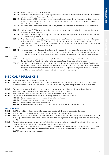- **DSC 5.2** Sanctions set in DSC 5.1 may be cumulated.
- **DSC 5.3** In the case of any breaches of law and/or legislation of the host country whatsoever SCAC is obliged to report the aforementioned breach to the local authorities.
- **DSC 5.4** Sanctions as set in DSC 5.1 may apply for the breaches of discipline done during the competition if they are done during the competition and if the nature of the breach goes beyond the one defined by the rules set out by the governing body for that sport.
- **DSC 5.5** In extreme and/or recidivist cases the EUSA EC may ban the university from particular or all EUSA events for a certain period.
- DSC 5.6 In all cases, the EUSA EC reserves the right to give further consideration to all disciplinary issues and impose additional penalties if appropriate.
- **DSC 5.7** In case where the university fails to pay a fine it will not have the right to participate in EUSA events until the fine has been received by the EUSA.
- DSC 5.8 Where the university is involved in damage to property at a EUSA event, compensation for damage will be sought by the OC, with the support of EUSA and the NUSA. This compensation in not whatsoever related from the fines set in 5.1.d and /or 5.1.e. In extreme circumstances EUSA EC reserves the right to fine institutions or impose a ban from future events until the issue is resolved.

#### DSC 6 SUPPORTERS

**DSC 6.1** In circumstances where the supporters of a university are behaving in an unacceptable manner in the view of the OC, the OC may remove the supporters from all venues associated with the event. The OC will encourage university delegations to, in all possible manner whatsoever, influence their supporters to act in an acceptable manner.

#### DSC 7 APPEAL

- **DSC 7.1** Each year, based on reports submitted to the EUSA Office, as set in DSC 4.5, the EUSA Office will generate a General Disciplinary Report, in order to monitor standards of behaviour and severity of sanctions.
- DSC 7.2 In all circumstances, universities on whom sanctions have been imposed may appeal to the EUSA EC within 30 (thirty) days following the day they were given the notice in matter. A fee of 300 EUR must be paid at the time of the appeal, which will be refunded if the appeal is successful. Any expenses relating to the appeal (e.g. – attendance at the appeal procedure by the appellant) will be covered by the university.

### MEDICAL REGULATIONS

- **MED 1** All participants in EUG participate at their own risk.
- MED 2 Each participant requires international health insurance for the duration of the stay in the EUG and must arrange this prior to their arrival at the EUG event. Neither EUSA nor OC will be liable for any costs arising from the failure to follow this regulation.
- MED 3 Each participant with special dietary requirement or with a chronic condition/illness shall communicate all relevant information to the OC in advance, and at the latest during accreditation procedure.
- MED 4 Person with contagious disease cannot be accredited and cannot take part in the EUG.
- MED 5 People with disabilities shall communicate the following information to the OC in advance:
	- **MED 5.1** the contact details of their personal assistant (where applicable)
	- **MED 5.2** if they are traveling with personal service animal;
	- MED 5.3 the nature of any special services required;
	- **MED 5.4** their most recent classification for the sport in which they are participating (only for athletes).

#### DOPING CONTROL

- MED 6 EUSA is committed to the principles of fair play and upholds the principles of antidoping at all its events.
- **MED 7** The GTM will include information about expectations in regards to antidoping matters.
- MED 8 Where it occurs and where present at EUG, OC is responsible to ensure that the infrastructure and procedures are met as per WADA regulations; the MC is responsible for overseeing that WADA Regulations on antidoping procedures are adhered to by the OC.
- MED 9 Failure to attend antidoping test when marked/selected is a breach of disciplinary protocol. The delegation is automatically disqualified and additional sanctions shall be imposed by EC after the EUG.
- MED 10 Any competitor found to test positive on doping control procedure will be excluded from all future EUSA events for the period of (2) years. In such circumstances a report will be submitted to WADA, ISF, to the rector of his university, NUSA and NSF. EUSA EC may impose additional sanctions.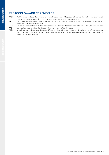## PROTOCOL/AWARD CEREMONIES

- PRO 1 Medal winners must attend the Awards ceremony. The ceremony will be postponed if none of the medal winners/nominated awards presenters can attend (i.e. the athletes themselves and not their representatives).
- **PRO 2** The athletes are not allowed to wear or bring on the podium any national, political, cultural or religious symbols or slogans, and/or play such audio/video material.
- PRO 3 Athletes are expected to take off their caps when receiving their medal and hold them in their hand throughout the ceremony.
- **PRO 4** All medallists must remain at the disposal of the media after the Awards ceremony.
- PRO 5 A certificate of participation must be prepared for each athlete, official and volunteer, and handed to the HoD of each delegation for distribution, at the last day before final competition day. The EUSA Office should approve it at least three (3) months before the opening of the event.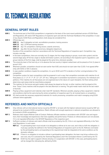# **02. TECHNICAL REGULATIONS**

## GENERAL SPORT RULES

GSR 1 The technical part of the EUSA competitions is organized on the basis of the most recent published version of EUSA Rules and Regulations, ISF and/or ESF Regulations of respective sport and with the Technical Handbook of the competition. In case of any dispute, EUSA Rules and Regulations shall always be considered first.

#### GSR 2 Official days are:

- **GSR 2.1** day 0: delegation arrivals, accreditation procedure, training sessions
- **GSR 2.2** day 1: GTM and training sessions
- **GSR 2.3** day 2-9: competition, training session, awards ceremony
- **GSR 2.4** day after the last Awards ceremony: delegation departures

Duration of the competition shall be in accordance with the Technical Regulations of respective sport. Competition may include a rest day.

- GSR 3 In the team competitions, there are normally two (2) stages; the first stage (playing in groups, round robin system) and the second stage (play-off format, single or double elimination system), set according to the respective sport's regulations. Last group matches of the first stage, shall be played at the same time, whenever possible.
- GSR 4 The university team of the host city or in its absence the host country's highest ranked team will be placed on first (1) place in group A (A1).
- GSR 5 Whenever possible, competition should not start earlier than 9.00, and should not start later than 21.00, if not agreed differently with SCAC or SVC in advance.
- GSR 6 In case weather conditions impede the competition, it is up to SCAC and CTC to decide on further running/schedule of the competition.
- GSR 7 Competition system for team competitions shall be prepared in such a way, that competition concludes with matches for all final places (i.e.  $1^{st}$ ,  $3^{rd}$ ,  $5^{th}$ ,  $7^{th}$ ,  $9^{th}$ ,  $11^{th}$ ,  $13^{th}$ ,  $15^{th}$  etc.). Taking part in conciliation tournament is compulsory. For individual competitions, if the matches for all final places are not organized due to the nature of a sport discipline, the final ranking which determines each place shall be nevertheless prepared.
- GSR 8 The matches for the bronze and gold medals shall always be played as the last, no other matches shall be played at this time. These 2 (two) matches shall be played in the late afternoon or evening. The gold medal match shall be the last match of the EUG.
- GSR 9 Playing surface, equipment and materials shall meet ISF standards. Wherever possible, playing surface, equipment, material and conditions shall be the same during the whole competition of respective sport for all involved teams or competitors.
- GSR 10 OC shall provide the necessary equipment/materials for results processing, competition and match managing using EUSA software where applicable.

## REFEREES AND MATCH OFFICIALS

- REF 1 Only referees with an international license issued by ISF/ESF or at least with the highest national licence issued by NSF are allowed to be involved in EUSA competitions. Match officials with enough experience in national competitions are allowed to be involved in EUSA competitions.
- REF 2 Referees shall respect Referee Code of Conduct. Referees officiate matches in accordance with: ISF/ESF rules and regulations; their knowledge and experiences; their best capability and performance. Protests on referee decisions are not allowed, if it is not regulated differently in the ISF/ESF Regulations of the respective sport.
- REF 3 Sufficient numbers of referees and match officials shall be provided by the OC, if this is not regulated differently in the Technical Regulations. In such cases:
	- REF 3.1 If a participating team must include in its delegation a referee at its own cost, and it fails to fulfil this obligation, it must pay a penalty fee (defined in the Technical Regulations of respective sport) to the OC. Referees nominated by the participating teams corresponding to the required level shall be integrated at the same conditions as the domestic referees;
	- REF 3.2 If there is no obligation to include a referee in participating team delegation, the team may bring a referee at its own cost, only if it is allowed by the Technical Regulations and if the nominated referee is confirmed by the TD.
	- REF 3.3 EUSA has the right to appoint referees directly or in cooperation with ISF/ESF; in this case, participating teams will be charged the refereeing fee, defined by EUSA.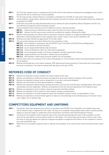- REF 4 The TD of the respective sport in cooperation with the OC confirms the referees nominated by the delegation and/or submitted by the OC two (2) months prior to the competition.
- REF 5 The OC shall provide a referee attaché (or coordinator), preferable from the NSF, for each sport of the program.
- REF 6 Accommodation, transportation, catering and other necessary services for referees shall be provided without any charge and are defined in the MOR.
- REF 7 EUSA does not provide any daily allowances/fees for any referee and sport/competition official. Delegations and OC may have different arrangements with the referees involved.
- REF 8 In the competition where referees come from different countries, whenever possible:
	- **REF 8.1** referees should not officiate the match where the team from their country is playing,
	- **REF 8.2** referees from the same country should not constitute the majority, officiating the match.
- REF 9 Referees shall bring their own official uniforms and wear it during the matches, if not approved differently by TD or defined differently in Technical Regulations of the respective sport. Uniform colours to be used are decided by TD.
- REF 10 Referees and match officials are appointed by TD for each match.
- REF 11 TD may exclude referees and match officials from the competition, if they:
	- REF 11.1 do not officiate in accordance: with the ISF/ESF Laws of the Game and EUSA Rules and Regulations,
	- REF 11.2 do not officiate in the Fair Play Spirit,
	- REF 11.3 do not respect EUSA Referee Code of Conduct,
	- REF 11.4 refuse to officiate the match, for which they are appointed,
	- REF 11.5 do not participate actively in all formal competition activities organized for referees,
	- REF 11.6 support publicly one of the teams / athletes during competition,
	- REF 11.7 their behaviour, health and/or physical condition are not acceptable.
- REF 12 Referee shall receive on a proposal of TD a Letter of Recognition or commemorative medal to be delivered before the end of the competition.
- REF 13 Referees should take part in the referee meetings, GTM, Opening and closing ceremony (if ceremonies are in the program during the competition). First referee meeting shall take place on the day of GTM.

### REFEREES CODE OF CONDUCT

- **REF 14** Referees are expected to always maintain the utmost respect for the sport.
- REF 15 Referees are expected to conduct themselves honorably at all times and maintain the dignity of their position.
- REF 16 Referees are expected to always honor an assignment or any other contractual obligation.
- REF 17 Referees will not tolerate nor allow abusive behavior or language.
- REF 18 Referees are expected to attend training meetings and clinics so as to know the EUSA Rules and Regulations, their proper interpretation and their application. Referees are expected to know the rules and regulations of the respective sport.
- REF 19 Referees are expected to strive to achieve maximum teamwork with fellow officials.
- REF 20 Referees are expected to show respect for other referees, coaches and participants.
- REF 21 Referees are expected to not make statements about the competition except to clarify an interpretation of rules.
- REF 22 Referees are expected to not discriminate against nor take any undo advantage of any individual group on the basis of race, color, religion, sex or national origin.

## COMPETITORS EQUIPMENT AND UNIFORMS

- CEU 1 Competitors shall wear equipment and uniforms in accordance with ISF/ESF rules. Competitor, who violates these rules, can be refused to play or expelled from the match. The team of a competitor whose official match uniform contains political, religious or personal slogans or statements will be sanctioned in accordance with EUSA Disciplinary Protocol.
- CEU 2 The jersey of the competitor shall contain the name of the university and optionally the name of the competitor; no other name can be used. Names on jersey shall be written in Latin letters. The country flag may be used on uniform only in case the name of university appears too. Sponsors logotype may appear on equipment and uniforms of the competitor in accordance with the ISF/ESF rules.
- CEU 3 Where the use of competitor playing number is required, the competitor must use the same number during the whole competition.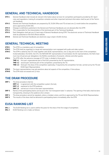## GENERAL AND TECHNICAL HANDBOOK

- GTH 1 General Handbook shall include all relevant information about services for competition participants provided by OC. Sport rules and regulations, training & competition schedule and other important technical information shall be part of the Technical Handbook.
- GTH 2 General and Technical Handbooks are prepared by OC, EUSA Office and TD at least one (1) month before the competition, and is approved by EUSA SVC.
- GTH 3 Changes to definitions published in the General and Technical Handbooks are not allowed after the GTM.
- **GTH 4** TD is responsible for the interpretation of the technical part of the Technical Handbook.
- GTH 5 Each Delegation shall get one (1) hard copy of General Handbook during GTM. The electronic version of Technical Handbook shall be published on the EUG official website.
- **GTH 6** General and Technical Handbooks are electronic copy is kept in EUSA Archive.

### GENERAL TECHNICAL MEETING

- **GTM 1** The GTM is a mandatory part of competition.
- **GTM 2** The GTM shall be organized in a large and representative room equipped with audio and video system.
- **GTM 3** The GTM is called by the CTC chair together with SCAC representatives, one (1) day prior to the start of the competition. Invited attendees: the SCAC, the CTC, the NSF/ESF/ISF representative (if nominated), the OC representatives, the HoD (maximum two (2) persons per delegation), the NUSAs coordinators (if present), referees and other guests.
- **GTM 4** The GTM, after the welcome message of CTC chair, is divided in three parts:
	- **TME 4.1** first part: organizational part of the EUG, presented by the OC representative,
	- **TME 4.2** second part: technical part of the competition, presented by the TD,
	- TME 4.3 third part: the draw of the competition (optionally, if required by the competition format), carried out by the TD and EUSA Sport Representative.
- **GTM 5** The team representatives may ask questions about all aspects of the competition, if time allows.
- **GTM 6** The GTM shall not exceed one (1) hour.

## THE DRAW PROCEDURE

- **DRP 1** The draw procedure shall be:
	- **DRP 1.1** in agreement with the competition system (format),
	- **DRP 1.2** explained to the GTM audience.
	- **DRP 1.3** carried out in front of the team representatives.
- DRP 3 Names of the participating teams can be put in the "non-transparent balls" in advance. The opening of the balls shall be done transparently, showing to the audience who is drawn.
- DRP 4 The draw procedure cannot be repeated, unless a mistake is done, and this is approved by the TD and SCAC Representative.
- DRP 5 The results of the draw shall be delivered to participating teams immediately after the GTM.

## EUSA RANKING LIST

- **ERL 1** The EUSA Ranking list is used to define the pools for the draw of the first stage of competition.
- **ERL 2** EUSA Ranking List is made, as follows: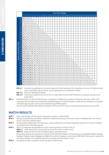|                               |                |      |                |             |                         |   |   |                         |             |             |    |    |                |    |              |    |   | <b>Team FINAL RANKING</b> |    |    |    |             |    |    |    |    |    |              |    |              |              |    |             |
|-------------------------------|----------------|------|----------------|-------------|-------------------------|---|---|-------------------------|-------------|-------------|----|----|----------------|----|--------------|----|---|---------------------------|----|----|----|-------------|----|----|----|----|----|--------------|----|--------------|--------------|----|-------------|
|                               |                | 1    | $\overline{a}$ | $\mathbf 3$ | 4                       | 5 | 6 | 7                       | 8           | 9           | 10 | 11 | 12             | 13 | 14           | 15 |   | 16 17                     | 18 | 19 | 20 | 21          | 22 | 23 | 24 | 25 | 26 | 27           | 28 | 29           | 30           | 31 | 32          |
|                               | 4              | 6    | 4              | 2           | 1                       |   |   |                         |             |             |    |    |                |    |              |    |   |                           |    |    |    |             |    |    |    |    |    |              |    |              |              |    |             |
|                               | 5              | 6    | 4              | 2           | 1                       | 1 |   |                         |             |             |    |    |                |    |              |    |   |                           |    |    |    |             |    |    |    |    |    |              |    |              |              |    |             |
|                               | 6              | 7    | 5              | 3           | 1                       | 1 | 1 |                         |             |             |    |    |                |    |              |    |   |                           |    |    |    |             |    |    |    |    |    |              |    |              |              |    |             |
|                               | $\overline{7}$ | 7    | 5              | 3           | 1                       | 1 | 1 | 1                       |             |             |    |    |                |    |              |    |   |                           |    |    |    |             |    |    |    |    |    |              |    |              |              |    |             |
|                               | 8              | 8    | 6              | 4           | $\overline{\mathbf{2}}$ | 1 | 1 | 1                       | 1           |             |    |    |                |    |              |    |   |                           |    |    |    |             |    |    |    |    |    |              |    |              |              |    |             |
|                               | 9              | 8    | 6              | 4           | $\overline{2}$          | 1 | 1 | 1                       | 1           | $\mathbf 1$ |    |    |                |    |              |    |   |                           |    |    |    |             |    |    |    |    |    |              |    |              |              |    |             |
|                               | 10             | 9    | 7              | 5           | 3                       | 2 | 1 | 1                       | 1           | 1           | 1  |    |                |    |              |    |   |                           |    |    |    |             |    |    |    |    |    |              |    |              |              |    |             |
|                               | 11             | 9    | 7              | 5           | 3                       | 2 | 1 | 1                       | 1           | 1           | 1  | 1  |                |    |              |    |   |                           |    |    |    |             |    |    |    |    |    |              |    |              |              |    |             |
|                               | 12             | 10   | 8              | 6           | 4                       | 3 | 2 | 1                       | 1           | 1           | 1  | 1  | 1              |    |              |    |   |                           |    |    |    |             |    |    |    |    |    |              |    |              |              |    |             |
|                               | 13             | 10   | 8              | 6           | 4                       | 3 | 2 | 1                       | 1           | 1           | 1  | 1  | 1              | 1  |              |    |   |                           |    |    |    |             |    |    |    |    |    |              |    |              |              |    |             |
|                               | 14             | 11   | 9              | 7           | 5                       | 4 | 3 | 2                       | 1           | 1           | 1  | 1  | 1              | 1  | 1            |    |   |                           |    |    |    |             |    |    |    |    |    |              |    |              |              |    |             |
| Number of participating TEAMS | 15             | 11   | 9              | 7           | 5                       | 4 | 3 | 2                       | 1           | 1           | 1  | 1  | 1              | 1  | 1            | 1  |   |                           |    |    |    |             |    |    |    |    |    |              |    |              |              |    |             |
|                               | 16             | 12   | 10             | 8           | 6                       | 5 | 4 | 3                       | 2           | 1           | 1  | 1  | 1              | 1  | 1            | 1  | 1 |                           |    |    |    |             |    |    |    |    |    |              |    |              |              |    |             |
|                               | 17             | 12   | 10             | 8           | 6                       | 5 | 4 | 3                       | $\mathbf 2$ | 1           | 1  | 1  | 1              | 1  | 1            | 1  | 1 | 1                         |    |    |    |             |    |    |    |    |    |              |    |              |              |    |             |
|                               | 18 13          |      | 11             | 9           | 7                       | 6 | 5 | 4                       | 3           | 2           | 1  | 1  | 1              | 1  | 1            | 1  | 1 | 1                         | 1  |    |    |             |    |    |    |    |    |              |    |              |              |    |             |
|                               | 19             | 13   | 11             | 9           | 7                       | 6 | 5 | 4                       | 3           | 2           | 1  | 1  | 1              | 1  | 1            | 1  | 1 | 1                         | 1  | 1  |    |             |    |    |    |    |    |              |    |              |              |    |             |
|                               | 20 14          |      | 12             | 10          | 8                       | 7 | 6 | 5                       | 4           | 3           | 2  | 1  | 1              | 1  | 1            | 1  | 1 | 1                         | 1  | 1  | 1  |             |    |    |    |    |    |              |    |              |              |    |             |
|                               | 21             | 14   | 12             | 10          | 8                       | 7 | 6 | 5                       | 4           | 3           | 2  | 1  | 1              | 1  | 1            | 1  | 1 | 1                         | 1  | 1  | 1  | 1           |    |    |    |    |    |              |    |              |              |    |             |
|                               | 22             | 15   | 13             | 11          | 9                       | 8 | 7 | 6                       | 5           | 4           | 3  | 2  | 1              | 1  | 1            | 1  | 1 | 1                         | 1  | 1  | 1  | 1           | 1  |    |    |    |    |              |    |              |              |    |             |
|                               | 23             | 15   | 13             | 11          | 9                       | 8 | 7 | 6                       | 5           | 4           | 3  | 2  | 1              | 1  | 1            | 1  | 1 | 1                         | 1  | 1  | 1  | 1           | 1  | 1  |    |    |    |              |    |              |              |    |             |
|                               | 24             | 16   | 14             | 12          | 10                      | 9 | 8 | 7                       | 6           | 5           | 4  | 3  | 2              | 1  | 1            | 1  | 1 | 1                         | 1  | 1  | 1  | 1           | 1  | 1  | 1  |    |    |              |    |              |              |    |             |
|                               | 25             | 16   | 14             | 12          | 10                      | 9 | 8 | $\overline{\mathbf{r}}$ | 6           | 5           | 4  | 3  | 2              | 1  | 1            | 1  | 1 | 1                         | 1  | 1  | 1  | 1           | 1  | 1  | 1  | 1  |    |              |    |              |              |    |             |
|                               | 26             | 16   | 14             | 12          | 10                      | 9 | 8 | 7                       | 6           | 5           | 4  | 3  | 2              | 1  | 1            | 1  | 1 | 1                         | 1  | 1  | 1  | 1           | 1  | 1  | 1  | 1  | 1  |              |    |              |              |    |             |
|                               | 27             | 16   | 14             | 12          | 10                      | 9 | 8 | 7                       | 6           | 5           | 4  | 3  | 2              | 1  | 1            | 1  | 1 | 1                         | 1  | 1  | 1  | 1           | 1  | 1  | 1  | 1  | 1  | 1            |    |              |              |    |             |
|                               | 28             | 16   | 14             | 12          | 10                      | 9 | 8 | $\overline{7}$          | 6           | 5           | 4  | 3  | 2              | 1  | 1            | 1  | 1 | 1                         | 1  | 1  | 1  | 1           | 1  | 1  | 1  | 1  | 1  | 1            | 1  |              |              |    |             |
|                               | 29             | 16   | 14             | 12          | 10                      | 9 | 8 | 7                       | 6           | 5           | 4  | 3  | 2              | 1  | 1            | 1  | 1 | 1                         | 1  | 1  | 1  | 1           | 1  | 1  | 1  | 1  | 1  | 1            | 1  | $\mathbf{1}$ |              |    |             |
|                               | 30             | 16   | 14             | 12          | 10                      | 9 | 8 | 7                       | 6           | 5           | 4  | 3  | 2              | 1  | 1            | 1  | 1 | 1                         | 1  | 1  | 1  | 1           | 1  | 1  | 1  | 1  | 1  | 1            | 1  | 1            | 1            |    |             |
|                               | 31             | 16   | 14             | 12          | 10                      | 9 | 8 | 7                       | 6           | 5           | 4  | 3  | 2              | 1  | 1            | 1  | 1 | 1                         | 1  | 1  | 1  | 1           | 1  | 1  | 1  | 1  | 1  | 1            | 1  | 1            | 1            | 1  |             |
|                               | 32             | l 16 | 14             | 12          | 10                      | 9 | 8 | $\overline{7}$          | 6           | 5           | 4  | 3  | $\overline{2}$ | 1  | $\mathbf{1}$ | 1  | 1 | $\mathbf{1}$              | 1  | 1  | 1  | $\mathbf 1$ | 1  | 1  | 1  | 1  | 1  | $\mathbf{1}$ | 1  | $\mathbf{1}$ | $\mathbf{1}$ | 1  | $\mathbf 1$ |

- ERL 2.1 the points are attributed to the teams based on the final standing of the competition; only one, the highest placed team of the NUSA, gets the points. Accumulated points are calculated for NUSA.
- ERL 2.2 Points are delivered as follows:
- ERL 2.3 Points accumulated within the last four (4) years determine the EUSA Ranking List, published annually by the EUSA Office.
- ERL 3 EUSA Ranking List is used in all EUSA team competitions. If additional international ranking lists (ISF and/or ESF) of the respective sport are taken into consideration,the EUSA Ranking List shall be always considered first (exceptions are possible with SCAC approval and must be communicated during GTM the latest).

Only the latest published international ranking list of ISF and/or ESF may be considered and presented during the GTM.

## MATCH RESULTS

- **MTR 1** Each match finishes with the result, announced by referee or match official.
- MTR 2 Results are published on the official competition website/results.eusa.eu and social media immediately after the match by the OC. They have unofficial status.
- MTR 3 Results become official after TD confirmation, and are published in the official competition bulletin which shall be available by breakfast time of the following day.
- MTR 4 HoD or an authorised representative of a team may file protest on results to the TD:
	- **MTR 4.1** within twenty (20) minutes after the end of the match on match result,
	- MTR 4.2 before the start of next competition day on confirmed results.

Each protest shall be accompanied by a deposit of fifty (50) EUR except for the following sports: Basketball, Beach Handball, Handball, Football, Futsal, Volleyball and Water Polo where the deposit is two hundred (200) EUR. If the protest is upheld, the fee will be returned. CTC and SCAC deal with the protest and their decision is final.

**MTR 5** Competition results in electronic version are kept in EUSA Archive.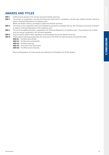# **D2. TECHNICAL REGULATIONS 02. TECHNICAL REGULATIONS**

## AWARDS AND TITLES

- AWA 1 EUSA presents awards to the winners during the Awards ceremony.
- AWA 2 The winners of competitions, normally first three top ranked teams / competitors, will get cups, medals and other awards as listed in Technical Regulations of respective sport.

Medal and Awards-winners are obliged to attend the Awards ceremony.

- AWA 3 The winner of the competition (team and individual tournaments) is awarded with the title "European Universities Champion" as listed in Technical Regulations of the respective sport.
- AWA 4 The list of the additional awards is stipulated in the Technical Regulations of respective sport. The procedure how to determine the winner is published in the Technical Handbook.
- AWA 5 Only the awards listed in these regulations could be granted during the Awards ceremony.
- AWA 6 EUSA presents following awards after the conclusion of the EUG (normally during the annual EUSA Gala):
	- AWA 6.1 the Most Active NUSA,
	- AWA 6.2 the Most Successful NUSA,
	- AWA 6.3 the Best University,
	- AWA 6.5 Enno Harms Fair Play Award.
	- AWA 6.6 The Most Active University

Rules and Regulations for these awards are published in the Guidelines for EUSA Awards.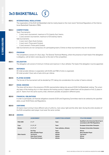## 3x3 BASKETBALL



#### B3X 1 INTERNATIONAL REGULATIONS

The organization of the EUG 3x3 Basketball shall be mainly based on the most recent Technical Regulations of the International Basketball Federation (FIBA).

#### B3X 2 COMPETITIONS

Team Tournaments:

- 1 (one) men's tournament, maximum of 24 (twenty-four) teams,
- 1 (one) women's tournament, maximum of 20 (twenty) teams.
- Side tournaments:
- 1 (one) men's Slam Dunk Contest,
- 1 (one) men's Three-point Contest,
- 1 (one) women's Three-point Contest.

Side tournaments are non-compulsory for participating teams. Entries to these tournaments only are not allowed.

#### B3X 3 PROGRAM

The competitions consist of 4 (four) days. The General Technical Meeting, where the presence of each head of the delegation is obligatory, will be held 1 (one) day prior to the start of the competition.

#### B3X 4 DELEGATION

The delegation will consist of minimum 3 (three) and maximum 4 (four) athletes The head of the delegation must be appointed.

#### B3X 5 REFEREES

OC shall provide referees in cooperation with EUSA and FIBA (if clinic is organized). OC shall provide 2 (two) sets of polo shirts per referee.

#### B3X 6 PLAYING SCHEME

The format of the tournament will be decided by CTC taking into consideration the number of teams entered.

#### B3X 7 DRAW, SEEDING

The draw will be done in the presence of EUSA representative taking into account EUSA 3x3 Basketball ranking. The university team of the hosting city or in their absence the hosting country's highest ranked team will be placed on first (1) place in pool A. Teams from the same country shall, whenever possible, be placed in different pools.

#### B3X 8 FINANCIAL OBLIGATIONS

In order to participate, all financial obligations towards EUSA and Organizing Committee need to be settled by the specified dates, as per EUSA Rules and Regulations.

#### B3X 9 UNIFORMS

All teams have to bring 2 (two) different sets of uniforms, main colour light and the other dark. During the entire duration of the EUG competition each player must wear the same number.

#### B3X 10 AWARDS

|                     | <b>ACHIEVEMENT</b>                                                                                                             | <b>COMPETITION CATEGORY</b>                             | <b>TITLE FOR WINNER</b>                                                        |
|---------------------|--------------------------------------------------------------------------------------------------------------------------------|---------------------------------------------------------|--------------------------------------------------------------------------------|
| <b>FISU UWC</b>     | $1st$ , $2nd$                                                                                                                  | <b>Team</b>                                             | Qualified to the University World Cup in<br>accordance with FISU Regulations   |
| Cups                | $1st$ , $2nd$ , $3rd$                                                                                                          | <b>Team</b>                                             | <b>European Universities Champion</b>                                          |
| <b>Medals</b>       | $1st$ , $2nd$ , $3rd$                                                                                                          | Team (athletes, officials)                              | <b>European Universities Champion</b>                                          |
| <b>Other Awards</b> | <b>Fair Play</b><br><b>Most Valuable Player</b><br><b>Top Scorer</b><br><b>Slam Dunk Contest</b><br><b>Three-Point Contest</b> | <b>Team</b><br>Athlete<br>Athlete<br>Athlete<br>Athlete | Winner<br><b>Most Valuable Player</b><br><b>Top Scorer</b><br>Winner<br>Winner |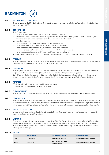

#### BAD 1 INTERNATIONAL REGULATIONS

The organization of the EUG Badminton shall be mainly based on the most recent Technical Regulations of the Badminton World Federation (BWF).

#### BAD 2 COMPETITIONS

Team Tournament:

- $\cdot$  1 (one) mixed team's tournament, maximum of 24 (twenty-four) teams.
- Each match in team's tournament consist of: 1 (one) women's singles match, 1 (one) women's doubles match, 1 (one) men's singles match, 1 (one) men's doubles match, 1 (one) mixed doubles match.

Individual Tournaments:

- 1 (one) men's single tournament (MS), maximum 64 (sixty-four) men,
- 1 (one) women's single tournament (WS), maximum 64 (sixty-four) women,
- 1 (one) men's double tournament (MD), maximum 64 (sixty-four) men's pair,
- 1 (one) women's double tournament (WD), maximum 64 (sixty-four) women's pairs,
- $\cdot$  1 (one) mixed double tournament (XD), maximum 64 (sixty-four) mixed pairs,

Individual tournaments are compulsory for participating teams. Entries to these tournaments only are not allowed.

#### BAD 3 PROGRAM

The competitions consist of 6 (six) days. The General Technical Meeting, where the presence of each head of the delegation is obligatory, will be held 1 (one) day prior to the start of the competition.

#### BAD 4 DELEGATION

The delegation will consist of minimum 2 (two) and maximum 6 (six) women athletes, of minimum 2 (two) and maximum 6 (six) men athletes and maximum of 3 (three) officials. The head of the delegation must be appointed. Each delegation playing the team competition may enter the individual competitions with a maximum of 3 (three) men's singles, 3 (three) women's singles, 3 (three) men's doubles, 3 (three) women's doubles and 3 (three) mixed doubles.

#### BAD 5 REFEREES

OC shall provide referees in cooperation with Badminton Europe OC shall provide 2 (two) sets of polo shirts per referee.

#### BAD 6 PLAYING SCHEME

The format of the tournament will be decided by CTC taking into consideration the number of teams/athletes entered.

#### BAD 7 DRAW, SEEDING

The draw will be done in the presence of EUSA representative taking into account BWF, NSF (only individual tournaments) and EUSA Badminton ranking. The university team of the hosting city or in their absence the hosting country's highest ranked team will be placed on first (1) place in pool A. Teams from the same country shall, whenever possible, be placed in different pools.

#### BAD 8 FINANCIAL OBLIGATIONS

In order to participate, all financial obligations towards EUSA and Organizing Committee need to be settled by the specified dates, as per EUSA Rules and Regulations.

#### BAD 9 UNIFORMS

All teams participating in the team competition should have 2 (two) different unique team dresses in 2 (two) different colours (one in dark and one on light colours) with them. In the individual competitions doubles and mixed pairs should be dressed in the same colours. If players wear t-shirts with advertising, names or countries they have to respect the BWF rules about "clothing and advertising".

#### BAD 10 AWARDS

|               | <b>ACHIEVEMENT</b>            | <b>COMPETITION CATEGORY</b>                     | <b>TITLE FOR WINNER</b>               |
|---------------|-------------------------------|-------------------------------------------------|---------------------------------------|
| Cups          | $1st$ , $2nd$ , $3rd$ , $3rd$ | Team (athletes, officials)                      | <b>European Universities Champion</b> |
| <b>Medals</b> | $1st$ , $2nd$ , $3rd$ , $3rd$ | Team, Doubles (MD, WD, XD),<br>Singles (MS, WS) | <b>European Universities Champion</b> |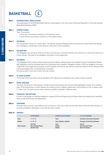## **BASKETBALL**

#### BAS 1 INTERNATIONAL REGULATIONS

The organization of the EUG Basketball shall be mainly based on the most recent Technical Regulations of the International Basketball Federation (FIBA).

#### BAS 2 COMPETITIONS

Team Tournament:

- $\cdot$  1 (one) men's tournament, maximum of 20 (twenty) teams,
- 1 (one) women's tournament, maximum of 16 (sixteen) teams.

#### BAS 3 PROGRAM

The competitions consist of 7 (seven) days. The General Technical Meeting, where the presence of each head of the delegation is obligatory, will be held 1 (one) day prior to the start of the competition.

#### BAS 4 DELEGATION

The delegation will consist of minimum 10 (ten) and maximum 12 (twelve) athletes and minimum of 1 (one) and maximum of 5 (five) officials. The head of the delegation and coach must be appointed.

#### BAS 5 REFEREES

The delegation shall include a referee with at least the highest national license; the relevant license of the National Basketball Federation must be submitted within the Quantitative entry deadline. Delegation failing to fulfil this obligation must pay 1.000 EUR to the Organizing Committee. Accommodation and food for the referee must be provided by the OC without charging the participation fee; no refereeing fee is provided.

OC shall provide 2 (two) sets of polo shirts per referee.

#### BAS 6 PLAYING SCHEME

The format of the tournament will be decided by CTC taking into consideration the number of teams entered.

#### BAS 7 DRAW, SEEDING

The draw will be done in the presence of EUSA representative taking into account EUSA Basketball ranking. The university team of the hosting city or in their absence the hosting country's highest ranked team will be placed on first (1) place in pool A. Teams from the same country shall, whenever possible, be placed in different pools.

#### BAS 8 FINANCIAL OBLIGATIONS

In order to participate, all financial obligations towards EUSA and Organizing Committee need to be settled by the specified dates, as per EUSA Rules and Regulations.

#### **BAS 9 UNIFORMS**

All teams have to bring 2 (two) different sets of uniforms, main colour light and the other dark. During the entire duration of the EUG competition each player must wear the same number.

#### BAD 10 AWARDS

|                     | <b>ACHIEVEMENT</b>                                                      | <b>COMPETITION CATEGORY</b>       | <b>TITLE FOR WINNER</b>                                           |
|---------------------|-------------------------------------------------------------------------|-----------------------------------|-------------------------------------------------------------------|
| Cups                | $1st$ , $2nd$ , $3rd$                                                   | Team                              | <b>European Universities Champion</b>                             |
| <b>Medals</b>       | $1^{st}$ , $2^{nd}$ , $3^{rd}$                                          | Team (athletes, officials)        | <b>European Universities Champion</b>                             |
| <b>Other Awards</b> | <b>Fair Play</b><br><b>Most Valuable Player</b><br><b>All-Star Team</b> | Team<br><b>Athlete</b><br>Athlete | Winner<br><b>Most Valuable Player</b><br><b>Best Five Players</b> |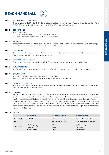





#### BHB 1 INTERNATIONAL REGULATIONS

The organization of the EUG Beach Handball shall be mainly based on the most recent Technical Regulations of the IHF and EHF (EHF Beach handball EURO regulations and IHF Rules of the Games Beach Handball).

#### BHB 2 COMPETITIONS

Team Tournaments:

- $\cdot$  1 (one) men's tournament, maximum of 12 (twelve) teams,
- 1 (one) women's tournament, maximum of 12 (twelve) teams.

#### BHB 3 PROGRAM

The competitions consist of 3 (three) days. The General Technical Meeting, where the presence of each head of the delegation is obligatory, will be held 1 (one) day prior to the start of the competition.

#### BHB 4 DELEGATION

The delegation will consist of minimum 8 (eight) and maximum 12 (twelve) athletes and minimum of 1 (one) and maximum 4 (four) officials. One official (coach) must be appointed.

#### BHB 5 REFEREES AND DELEGATES

Referees and Delegates will be appointed by EHF (Beach Handball Commission) in cooperation with EUSA.

#### BHB 6 PLAYING SCHEME

The format of the tournament will be decided by the CTC taking into consideration the number of teams entered.

#### BHB 7 DRAW, SEEDING

The draw will be done in the cooperation between EUSA and EHF. Teams from the same country shall, whenever possible, be placed in different pools.

#### BHB 8 FINANCIAL OBLIGATIONS

In order to participate, all financial obligations towards EUSA and Organizing Committee need to be settled by the specified dates, as per EUSA Rules and Regulations.

#### BHB 9 UNIFORMS

Each team is required to have at 3 full team kit (80% has to be solid colour, rule 4.8. IHF Beach Handball Rules of the Game) in different colours for their players (court players and goalkeeper/specialists). Shirts without sleeves and shorts are obligatory for men and tops and bikini bottoms are obligatory for women (see IHF Beach Handball rules of the Game – Athlete Uniform Regulation). For the matches of the EUG each player´s number announced during GTM must be affixed on the back and front of the shirt of the respective player. During the entire duration of the EUG each player must wear the same number. The athletes number (of approx. 12x10 cm fort the men's tank tops and 8x6 cm for the women's tops) must be placed on the front and back of the tops.

#### BHB 10 AWARDS

|                       | <b>ACHIEVEMENT</b>                                                                             | <b>COMPETITION CATEGORY</b>           | <b>TITLE FOR WINNER</b>                                                              |
|-----------------------|------------------------------------------------------------------------------------------------|---------------------------------------|--------------------------------------------------------------------------------------|
| <b>Winner's Plate</b> | $1st$ , $2nd$ , $3rd$                                                                          | Team                                  | <b>European Universities Champion</b>                                                |
| <b>Medals</b>         | $1st$ , $2nd$ , $3rd$                                                                          | Team (athletes, officials)            | <b>European Universities Champion</b>                                                |
| <b>Other Awards</b>   | <b>Fair Play</b><br><b>Most Valuable Player</b><br><b>Top Scorer</b><br><b>Best Goalkeeper</b> | Team<br>Athlete<br>Athlete<br>Athlete | Winner<br><b>Most Valuable Player</b><br><b>Top Scorer</b><br><b>Best Goalkeeper</b> |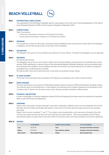## BEACH VOLLEYBALL



#### BVB 1 INTERNATIONAL REGULATIONS

The organization of the EUG Beach Volleyball shall be mainly based on the most recent Technical Regulations of the International Volleyball Federation (FIVB) and the European Volleyball Confederation (CEV).

#### BVB 2 COMPETITIONS

Team Tournaments:

- $\cdot$  1 (one) men's tournament, maximum of 24 (twenty-four) teams,
- 1 (one) women's tournament, maximum of 24 (twenty-four) teams.

#### BVB 3 PROGRAM

The competitions consist of 5 (five) days. The General Technical Meeting, where the presence of each head of the delegation is obligatory, will be held one day (1) prior to the start of the competition.

#### BVB 4 DELEGATION

The delegation will consist of 2 (two) athletes and maximum of 2 (two) officials. The head of the delegation must be appointed.

#### BVB 5 REFEREES

OC shall provide referees.

The delegation may, at its own cost, include a referee with at least the highest national license, but preferably with an International (FIVB) qualification; a relevant license of the International/National Volleyball Federation must be submitted within the quantitative entry deadline. Accommodation and food for the referee must be provided by the OC without charging the participation fee; no refereeing fee is provided.

OC shall provide 2 (two) sets of polo shirts and 1 (one) white sun protection hat per referee.

#### BVB 6 PLAYING SCHEME

The format of the tournament will be decided by CTC taking into consideration the number of teams entered.

#### BVB 7 DRAW, SEEDING

The draw will be done in the presence of EUSA Representative taking into account FIVB and EUSA Beach Volleyball ranking. The university team of the hosting city or, in their absence, the hosting country's highest ranked team will be placed on first (1) place in pool A. Teams from the same country shall, whenever possible, be placed in different pools.

#### BVB 8 FINANCIAL OBLIGATIONS

In order to participate, all financial obligations towards EUSA and Organizing Committee need to be settled by the specified dates, as per EUSA Rules and Regulations.

#### BVB 9 UNIFORMS

Player's shirts: each player should at least get 2 (two) shirts, preferably in different colours for the competition from the OC. Normally, the semi-finalists and finalists get another 2 (two) shirts on the final day (one to play and one for the awarding ceremony).

Player's shirts must be numbered "1" and "2". The numbers must be placed both on the chest and on the back of the shirt. The shirt cuts need to be tank top style shirt (men) and sport top style (women). . Shirts are provided by the OC. Player's shorts/briefs: players of a given team must wear uniforms of the same colour and style according to tournament regulations.

#### BVB 10 AWARDS

|                     | <b>ACHIEVEMENT</b>             | <b>COMPETITION CATEGORY</b> | <b>TITLE FOR WINNER</b>               |
|---------------------|--------------------------------|-----------------------------|---------------------------------------|
| Cups                | $1st$ , $2nd$ , $3rd$          | Team                        | <b>European Universities Champion</b> |
| <b>Medals</b>       | $1^{st}$ , $2^{nd}$ , $3^{rd}$ | Team (athletes, officials)  | <b>European Universities Champion</b> |
| <b>Other Awards</b> | <b>Most Valuable Player</b>    | Athlete                     | <b>Most Valuable Player</b>           |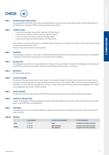

#### CHS 1 INTERNATIONAL REGULATION

The organization of the EUG Chess shall be mainly based on the most recent Chess Rapid & Blitz Technical Regulations of the World Chess Federation (FIDE) and European Chess Union (ECU).

#### CHS 2 COMPETITIONS

- 1 (one) men rapid open tournament, maximum 50 (fifty) teams,
- $\cdot$  1 (one) women rapid tournament, maximum 50 (fifty) teams.
- $\cdot$  1 (one) men blitz tournament, maximum 50 (fifty) teams,
- 1 (one) women blitz tournament,maximum 50 (fifty) teams,

Every match in the men's and women's competition shall be played over two boards. The players in each team must be listed in a fixed board order by their HoD.

Entries to only one tournament are not allowed.

#### CHS 3 PROGRAM

The competitions consist of 4 (four) days. The General Technical Meeting, where the presence of each head of the delegation is obligatory, will be held 1 (one) day prior to the start of the competition.

#### CHS 4 DELEGATION

The delegation will consist of 2 (two) athletes and maximum of 2 (two) officials. The head of the delegation must be appointed. Individual entries are not possible. University can participate with more than 1 (one) team.

#### CHS 5 REFEREES

OC shall provide referees.

#### CHS 6 PLAYING SCHEME

The format of the tournament will be Swiss system. Time Control in Rapid: 25 (twenty-five) minutes for all moves with an increment of 10 (ten) seconds per move, starting from move 1 (one). Time Control in Blitz: 3 (three) minutes followed by an increment of 2 (two) sec/move, starting from the move 1 (one). The format of the tournament will be decided by CTC taking into consideration the number of teams entered.

#### CHS 7 DRAW, SEEDING

The draw will be done in the presence of EUSA Representative taking into account FIDE and EUSA Chess ranking.

#### CHS 8 FINANCIAL OBLIGATIONS

In order to participate, all financial obligations towards EUSA and Organizing Committee need to be settled by the specified dates, as per EUSA Rules and Regulations.

#### CHS 9 UNIFORMS

All participants as well as the officials (arbiters, captains and others being in the playing area) must comply with the dress code of the ECU.

#### CHS 10 AWARDS

|               | <b>ACHIEVEMENT</b>                                      | <b>COMPETITION CATEGORY</b>                 | <b>TITLE FOR WINNER</b>                                                        |
|---------------|---------------------------------------------------------|---------------------------------------------|--------------------------------------------------------------------------------|
| Cups          | $1st$ , $2nd$ , $3rd$                                   | Team                                        | <b>European Universities Champion</b>                                          |
| <b>Medals</b> | $1^{st}$ , $2^{nd}$ , $3^{rd}$<br>$1st$ , $2nd$ , $3rd$ | Rapid (athletes)<br><b>Blitz (athletes)</b> | <b>European Universities Champion</b><br><b>European Universities Champion</b> |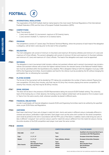

#### FTB 1 INTERNATIONAL REGULATIONS

The organization of the EUG Football shall be mainly based on the most recent Technical Regulations of the International Football Federation (FIFA) and the Union of European Football Associations (UEFA).

#### FTB 2 COMPETITIONS

Team Tournaments:

- $\cdot$  1 (one) men's football 11's tournament, maximum of 20 (twenty) teams,
- 1 (one) women's football 7's, maximum of 12 (twelve) teams.

#### FTB 3 PROGRAM

The competitions consist of 7 (seven) days.The General Technical Meeting, where the presence of each head of the delegation is obligatory, will be held 1 (one) day prior to the start of the competition.

#### FTB 4 DELEGATION

The men's delegation will consist of minimum 14 (fourteen) and maximum 20 (twenty) athletes and minimum of 1 (one) and maximum of 5 (five) officials. The women's delegation will consist of minimum 10 (ten) and maximum 14 (fourteen) athletes and minimum of 1 (one) and maximum of 4 (four) officials. The head of the delegation and coach must be appointed.

#### FTB 5 REFEREES

The delegation in men's tournament shall include a referee (not assistant referee) and in women's tournament may include a referee (not assistant referee) with at least the highest national license; the relevant license of the National Football Federation must be submitted within the Quantitative entry deadline. Men's delegation failing to fulfil this obligation must pay 1.000 EUR to the Organizing Committee. Accommodation and food for the referee must be provided by the OC without charging the participation fee; no refereeing fee is provided.

#### FTB 6 PLAYING SCHEME

The format of the tournament will be decided by CTC taking into consideration the number of teams entered. Playing time men competition: 35 (thirty-five) minutes, only final may be 45 (forty-five) minutes; playing time women competition: 25 (twenty-five) minutes, only final may be 30 (thirty) minutes.

#### FTB 7 DRAW, SEEDING

The draw will be done in the presence of EUSA Representative taking into account EUSA Football ranking. The university team of the hosting city or, in their absence, the hosting country's highest ranked team will be placed on first (1) place in pool A. Teams from the same country shall, whenever possible, be placed in different pools.

#### FTB 8 FINANCIAL OBLIGATIONS

In order to participate, all financial obligations towards EUSA and Organizing Committee need to be settled by the specified dates, as per EUSA Rules and Regulations.

#### FTB 9 UNIFORMS

Each team shall bring 2 (two) sets of player's match kit (shirt, shorts and socks) in different colours (noticeably different in contrast and colours, preferable in light and dark). Each player must use the same shirt number for the whole competition, and it shall be printed on the shirt in accordance with the FIFA Laws of the Game. In addition, teams shall bring two sets of bibs in different "untypical" (non-common colours used for match kit) colours (different from the match kit colours). During the entire duration of the EUG competition each player must wear the same number.

#### FTB 10 AWARDS

|                 | <b>ACHIEVEMENT</b>                                                                             | <b>COMPETITION CATEGORY</b>                         | <b>TITLE FOR WINNER</b>                                                              |
|-----------------|------------------------------------------------------------------------------------------------|-----------------------------------------------------|--------------------------------------------------------------------------------------|
| <b>FISU UWC</b> | $1st$ , $2nd$                                                                                  | <b>Team</b>                                         | Qualified to the University World Cup in<br>accordance with FISU Regulations         |
| Cups            | $1st$ , $2nd$ , $3rd$                                                                          | <b>Team</b>                                         | <b>European Universities Champion</b>                                                |
| <b>Medals</b>   | $1st$ , $2nd$ , $3rd$                                                                          | Team (athletes, officials)                          | <b>European Universities Champion</b>                                                |
| Other Awards    | <b>Fair Play</b><br><b>Most Valuable Player</b><br><b>Best Goalkeeper</b><br><b>Top Scorer</b> | <b>Team</b><br>Athlete<br>Athlete<br><b>Athlete</b> | Winner<br><b>Most Valuable Player</b><br><b>Best Goalkeeper</b><br><b>Top Scorer</b> |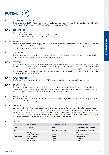



#### FUT 1 INTERNATIONAL REGULATIONS

The organization of the EUG Futsal shall be mainly based on the most recent Technical Regulations of the International Football Federation (FIFA) and the Union of European Football Associations (UEFA).

#### FUT 2 COMPETITIONS

Team Tournaments:

- $\cdot$  1 (one) men's tournament, maximum of 24 (twenty-four) teams,
- 1 (one) women's tournament, maximum of 16 (sixteen) teams.

#### FUT 3 PROGRAM

The men tournament consists of 8 (eight), the women tournament consists 7 (seven) days, including 1 (one) day of rest for each team. The General Technical Meeting, where the presence of each head of the delegation is obligatory, will be held 1 (one) day prior to the start of the competition.

#### FUT 4 DELEGATION

The delegation will consist of minimum 10 (ten) and maximum 14 (fourteen) athletes and minimum of 1 (one) and maximum of 5 (five) officials. The head of the delegation and coach must be appointed.

#### FUT 5 REFEREES

The delegation shall include a referee with at least the highest national license; the relevant license of the National Football Federation must be submitted within the Quantitative entry deadline. Delegation failing to fulfil this obligation must pay 1.000 EUR to the Organizing Committee. Accommodation and food for the referee must be provided by the OC without charging the participation fee; no refereeing fee is provided. In order to ensure a full participation in the Referee Training Program the referee must be able to speak English.

#### FUT 6 PLAYING SCHEME

The format of the tournament will be decided by CTC taking into consideration the number of teams entered.

#### FUT 7 DRAW, SEEDING

The draw will be done in the presence of EUSA Representative taking into account EUSA Futsal ranking. The university team of the hosting city or, in their absence, the hosting country's highest ranked team will be placed on first (1) place in pool A. Teams from the same country shall, whenever possible, be placed in different pools.

#### FUT 8 FINANCIAL OBLIGATIONS

In order to participate, all financial obligations towards EUSA and Organizing Committee need to be settled by the specified dates, as per EUSA Rules and Regulations.

#### FUT 9 UNIFORMS

Each team shall bring 2 (two) sets of player's match kit (shirt, shorts and socks) in different colours (noticeably different in contrast and colours, preferable in light and dark). Each player must use the same shirt number for the whole competition, and it shall be printed on the shirt in accordance with the FIFA Laws of the Game. In addition, teams shall bring two sets of bibs in different "untypical" (non-common colours used for match kit) colours (different from the match kit colours). During the entire duration of the EUG competition each player must wear the same number.

#### FUT 10 AWARDS

|                     | <b>ACHIEVEMENT</b>                                                                                                     | <b>COMPETITION CATEGORY</b>                             | <b>TITLE FOR WINNER</b>                                                                        |
|---------------------|------------------------------------------------------------------------------------------------------------------------|---------------------------------------------------------|------------------------------------------------------------------------------------------------|
| Cups                | $1st$ , $2nd$ , $3rd$                                                                                                  | <b>Team</b>                                             | <b>European Universities Champion</b>                                                          |
| <b>Medals</b>       | $1^{st}$ , $2^{nd}$ , $3^{rd}$                                                                                         | Team (athletes, officials)                              | <b>European Universities Champion</b>                                                          |
| <b>Other Awards</b> | <b>Fair Play</b><br><b>Most Valuable Player</b><br><b>Best Goalkeeper</b><br><b>Top Scorer</b><br><b>All-Star Team</b> | <b>Team</b><br>Athlete<br>Athlete<br>Athlete<br>Athlete | Winner<br><b>Most Valuable Player</b><br><b>Best Goalkeeper</b><br><b>Top Scorer</b><br>Winner |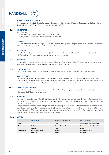

#### HBL 1 INTERNATIONAL REGULATIONS

The organization of the EUG Handball shall be mainly based on the most recent Technical Regulations of the International Handball Federation (IHF) and European Handball Federation (EHF).

#### HBL 2 COMPETITIONS

Team Tournaments:

- $\cdot$  1 (one) men's tournament, maximum of 12 (twelve) teams,
- 1 (one) women's tournament, maximum of 12 (twelve) teams.

#### HBL 3 PROGRAM

The competitions consist of 6 (six) days. The General Technical Meeting, where the presence of each head of the delegation is obligatory, will be held 1 (one) day prior to the start of the competition.

#### HBL 4 DELEGATION

The delegation will consist of minimum 10 (ten) and maximum 14 (fourteen) athletes and minimum of 1 (one) and maximum of 5 (five) officials. The head of the delegation and coach must be appointed.

#### HBL 5 REFEREES

Referees will be appointed by EHF in cooperation with EUSA and Organizing Committee. Each delegation has to pay a refereeing fee in the amount of 300 EUR (three hundred euros) on the OC account.

#### HBL 6 PLAYING SCHEME

The format of the tournament will be decided by the CTC taking into consideration the number of teams entered.

#### HBL 7 DRAW, SEEDING

The draw will be done in the presence of EUSA Representative taking into account EUSA Handball ranking. The university team of the hosting city or, in their absence, the hosting country's highest ranked team will be placed on first (1) place in pool A. Teams from the same country shall, whenever possible, be placed in different pools.

#### HBL 8 FINANCIAL OBLIGATIONS

In order to participate, all financial obligations towards EUSA and Organizing Committee need to be settled by the specified dates, as per EUSA Rules and Regulations.

#### HBL 9 UNIFORMS

Each team is required to have at least 1 (one) full team kit in light colours and one full team kit in dark colours (blue and red are considered dark colours) for the matches of the EUG. Goalkeepers´ kit must differ from court players´ kit in both light and dark colours kit options.

Each player´s number announced during general technical meeting must be affixed on the back and front of the shirt of the respective player. The number must be clearly legible (in contrast colour to the shirt), must range from 1 (one) to 99 (ninetynine) and be at least 20 (twenty) cm high on the back and at least 10 (ten) cm high on the front. During the entire duration of the EUG competition each player must wear the same number.

#### HBL 10 AWARDS

|                     | <b>ACHIEVEMENT</b>                                                   | <b>COMPETITION CATEGORY</b> | <b>TITLE FOR WINNER</b>                                    |
|---------------------|----------------------------------------------------------------------|-----------------------------|------------------------------------------------------------|
| Cups                | $1st$ , $2nd$ , $3rd$                                                | Team                        | <b>European Universities Champion</b>                      |
| <b>Medals</b>       | $1^{st}$ , $2^{nd}$ , $3^{rd}$                                       | Team (athletes, officials)  | <b>European Universities Champion</b>                      |
| <b>Other Awards</b> | <b>Fair Play</b><br><b>Most Valuable Player</b><br><b>Top Scorer</b> | Team<br>Athlete<br>Athlete  | Winner<br><b>Most Valuable Player</b><br><b>Top Scorer</b> |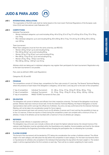# **D2. TECHNICAL REGULATIONS 02. TECHNICAL REGULATIONS**

## JUDO & PARA JUDO



#### JUD 1 INTERNATIONAL REGULATIONS

The organization of the EUG Judo shall be mainly based on the most recent Technical Regulations of the European Judo Union (EJU) and International Judo Federation (IJF).

#### JUD 2 COMPETITIONS

Individual Tournaments

- Women individual categories: up to and including 48 kg, 48 to 52 kg, 52 to 57 kg, 57 to 63 kg, 63 to 70 kg, 70 to 78 kg, over 78 kg,
- Men individual categories: up to and including 60 kg, 60 to 66 kg, 66 to 73 kg, 73 to 81 kg, 81 to 90 kg, 90 to 100 kg, over 100 kg.

#### Team tournament

Mixed Team categories (must be from the same university, see REG 62):

- Women (48 kg, 52 kg\*) up to and including 52 kg,
- Men (60 kg, 66 kg $*$ ) up to and including 66 kg,
- Women (52 kg, 57 kg, 63 kg\*) up to and including 63 kg,
- Men (66 kg, 73 kg, 81 kg\*) up to and including 81 kg,
- Women (70 kg, 78 kg, +78 kg\*) over 63 kg,
- Men (90 kg, 100 kg, +100 kg\*) over 81 kg.

Athletes which are taking part in individual categories may register their participants for team tournament. Registration only to the team tournament is not possible.

Para Judo (as defined in IBSA Judo Regulations)

Categories: B1, B2 and B3

#### JUD 3 PROGRAM

The competitions consist of 3 (three) days, competitions for Para Judo consist of 1 (one) day. The General Technical Meeting, where the presence of each head of the delegation is obligatory, will be held 1 (one) day prior to the start of the competition.

| $1^{\rm st}$ day of competition $\,$ | Individual Tournament:             | W: -48k g, -52 kg, -57 kg, -63 kg; M: -60 kg, -66 kg, -73 kg   |
|--------------------------------------|------------------------------------|----------------------------------------------------------------|
| 2 <sup>nd</sup> day of competition   | Individual Tournament:             | W: -70 kg, -78 kg, +78 kg; M: -81 kg, -90 kg, -100 kg, +100 kg |
| 3rd day of competition               | MIXED TEAMS Tournament & Para Judo |                                                                |

#### JUD 4 DELEGATION

The delegation will consist of athletes and officials from their respective university. The head of the delegation must be appointed. Athlete shall have minimum brown belt. At the first General Technical Meeting, the Head of Delegation or his/her representative shall confirm and sign the official list of athletes. Any entry not duly confirmed at the first General Technical Meeting, will not be taken into consideration except for force majeure.

In team tournament each team will consist of up to six (6) athletes (3 women and 3 men) and has the possibility to have up to four (4) reserves. If there are injuries or illness during the competition a team can compete with a minimum of four (4) athletes. A total of 10 athletes can be inscribed with a maximum of two (2) athletes per category.

#### JUD 5 REFEREES

OC shall provide referees in cooperation with EJU.

The delegation may, at its own cost, include a referee with at least the highest national license; the relevant license of the national Judo Federation must be submitted within the Quantitative entry deadline. Accommodation and food for the referee must be provided by the Organizing Committee without charging the participation fee; no refereeing fee is provided.

#### JUD 6 PLAYING SCHEME

The format of the tournament will be decided by CTC taking into consideration the number of athletes entered. The official weigh-in for each category will take place the day before the competition in each category. For the team tournaments there is 2 kg tolerance for athletes who competed in the individual Championships the day before the team weight-in. The random weigh-in will be organised before the first contests on each day. There will be no random weighting for team events.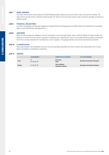#### JUD 7 DRAW, SEEDING

The draw will be done in the presence of EUSA Representative taking into account EUSA Judo, IJU and EJU ranking. The draw will be carried out by a software authorised by IJF. Teams from the same country shall, whenever possible, be placed in different pools.

#### JUD 8 FINANCIAL OBLIGATIONS

In order to participate, all financial obligations towards EUSA and Organizing Committee need to be settled by the specified dates, as per EUSA Rules and Regulations.

#### JUD 9 UNIFORMS

White and blue judogi are obligatory and all competitors must have both types, with or without official IJF back number. All judogi must conform to the current regulations regarding size, materials etc., but it is not required that a judogi is purchased from the currently selected IJF manufacturers list of suppliers. The judogi and belt size will be controlled by sokuteiki.

#### JUD 10 CLASSIFICATION

Para Judo athletes with disabilities who are not internationally classified will have to access the classification one (1) day before competition scheduled by organizers.

#### JUD 11 AWARDS

|               | <b>ACHIEVEMENT</b>                   | <b>COMPETITION CATEGORY</b>              | <b>TITLE FOR WINNER</b>               |
|---------------|--------------------------------------|------------------------------------------|---------------------------------------|
| Cups          | 1st<br>$1st$ , $2nd$ , $3rd$ , $3rd$ | University<br>Team                       | <b>European Universities Champion</b> |
| <b>Medals</b> | $1st$ , $2nd$ , $3rd$ , $3rd$        | Team (athletes)<br>Individual (athletes) | <b>European Universities Champion</b> |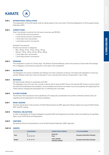

#### KAR 1 INTERNATIONAL REGULATIONS

The organization of the EUG Karate shall be mainly based on the most recent Technical Regulations of the European Karate Federation (EKF).

#### KAR 2 COMPETITIONS

Team Tournaments (must be from the same university, see REG 62):

- $\cdot$  1 (one) Kumite men's tournament,
- 1 (one) Kumite women's tournament,
- 1 (one) Kata men's tournament,
- 1 (one) Kata women's tournament.

#### Individual Tournaments:

Kumite tournaments in categories:

- Men: -60 kg, -67 kg, -75 kg, -84 kg, +84 kg,
- Women: -50 kg, -55 kg, -61 kg, -68 kg, +68 kg,
- 1 (one) Kata men's tournament.
- 1 (one) Kata women's tournament.

#### KAR 3 PROGRAM

The competitions consist of 3 (three) days. The General Technical Meeting, where the presence of each head of the delegation is obligatory, will be held one day prior to the start of the competition.

#### KAR 4 DELEGATION

The delegation will consist of athletes and officials from their respective university. The head of the delegation must be appointed. Athletes shall have minimum blue belt 2<sup>nd</sup> kyu in Kumite and minimum of black belt 1<sup>st</sup> dan in Kata.

#### KAR 5 REFEREES

OC shall provide referees in cooperation with EKF.

The delegation may, at its own cost, include a referee with at least the EKF license; the relevant EKF licence must be submitted within the Quantitative entry deadline. Accommodation and food for the referee must be provided by the Organizing Committee without charging the participation fee; no refereeing fee is provided.

#### KAR 6 PLAYING SCHEME

The format of the tournament will be decided by CTC taking into consideration the number of athletes entered. Only one weighting will be organized for the whole competition.

#### KAR 7 DRAW, SEEDING

The draw will be done in the presence of EUSA Representative by WKF approved software taking into account EUSA Karate, WKF and EKF ranking.

#### KAR 8 FINANCIAL OBLIGATIONS

In order to participate, all financial obligations towards EUSA and Organizing Committee need to be settled by the specified dates, as per EUSA Rules and Regulations.

#### KAR 9 UNIFORMS

All karate gi (kimono and protections) must be World Karate Federation (WKF) approved.

#### KAR 10 AWARDS

|               | <b>ACHIEVEMENT</b>                               | <b>COMPETITION CATEGORY</b>             | <b>TITLE FOR WINNER</b>               |
|---------------|--------------------------------------------------|-----------------------------------------|---------------------------------------|
| Cups          | 1 <sup>st</sup><br>$1st$ , $2nd$ , $3rd$ , $3rd$ | <b>University</b><br>Team               | <b>European Universities Champion</b> |
| <b>Medals</b> | $1st$ , $2nd$ , $3rd$ , $3rd$                    | Team (athletes)<br>Individual (athlete) | <b>European Universities Champion</b> |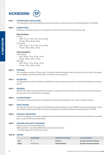

## KICKBOXING

#### KCK 1 INTERNATIONAL REGULATIONS

The organization of the EUG Kickboxing shall be mainly based on the most recent Technical Regulations of the WAKO.

#### KCK 2 COMPETITIONS

Kickboxing competitions will be in four disciplines: K1 Rules, Full Contact, Point Fighting, Kick Light.

#### Ring disciplines:

K1 rules

- Male: -67 kg, -71 kg, -75 kg, -81 kg, -86 kg
- Female: -56 kg, -60 kg, -65 kg

Full Contact

- Male: -67 kg, -71 kg, -75 kg, -81 kg, -86 kg
- Female: -56 kg, -60 kg, -65 kg

#### Tatami disciplines:

#### Point Fighting

- Male: -63 kg, -74 kg, -84 kg, +84 kg
- Female: -55 kg, -65 kg, +65 kg

Kick Light

- Male: -63 kg, -74 kg, -84 kg, +84 kg
- Female: -55 kg, -65 kg, +65 kg

#### KCK 3 PROGRAM

The competitions consist of 3 (three) days. The General Technical Meeting, where the presence of each head of the delegation is obligatory, will be held one day prior to the start of the competition.

#### KCK 4 DELEGATION

The delegation will consist of athletes and officials from their respective university. The head of the delegation must be appointed.

#### KCK 5 REFEREES

WAKO Europe Tatami and Ring Referee Committees will appoint international team of referees with A and B international licenses minimum 2 months before competition.

#### KCK 6 PLAYING SCHEME

The format of the tournament will be decided by CTC taking into consideration the number of athletes entered.

#### KCK 7 DRAW, SEEDING

The draw will be done in the presence of EUSA Representative taking into account WAKO European Championships' results from October and November 2019. Draw will be completed on the official ranking and drawing software for WAKO.

#### KCK 8 FINANCIAL OBLIGATIONS

In order to participate, all financial obligations towards EUSA and Organizing Committee need to be settled by the specified dates, as per EUSA Rules and Regulations.

#### KCK 9 UNIFORMS AND SAFETY EQUIPMENT

Fighters uniforms according WAKO Rules. Safety equipment – according WAKO rules (only approved producers)

- all safety equipment in red and blue colours.

#### KCK 10 AWARDS

|        | <b>ACHIEVEMENT</b>            | <b>COMPETITION CATEGORY</b> | <b>TITLE FOR WINNER</b>               |
|--------|-------------------------------|-----------------------------|---------------------------------------|
| Cups   | 1 <sub>st</sub>               | University                  | <b>European Universities Champion</b> |
| Medals | $1st$ , $2nd$ , $3rd$ , $3rd$ | Individual (athlete)        | <b>European Universities Champion</b> |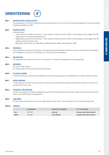# **D2. TECHNICAL REGULATIONS 02. TECHNICAL REGULATIONS**

## ORIENTEERING

#### ORI 1 INTERNATIONAL REGULATIONS

The organization of the EUG Orienteering shall be mainly based on the most recent Technical Regulations of the International Orienteering Federation (IOF).

#### ORI 2 COMPETITIONS

Individual Races:

- Sprint distance race: Men and women If the number of entered runners in M21 or W21 category will be bigger than 60, qualification race shall be organized before.
- Middle distance race: Men and women if the number of entered runners in M21 or W21 category will be bigger than 60, splitting methods shall be used.
- Relay Race: Sprint relay race: Men/Women (MW), Men/Men (MM), Women/Women (WW).

#### ORI 3 PROGRAM

The competitions consist of 3 (three) days. The General Technical Meeting, where the presence of each head of the delegation is obligatory, will be held 1 (one) day prior to the start of the competition.

#### ORI 4 DELEGATION

The delegation will consist of minimum 1 (one) athlete. The head of the delegation must be appointed.

#### ORI5 REFEREES

OC shall provide referees. OC shall provide 2 (two) sets of polo shirts per referee.

#### ORI 6 PLAYING SCHEME

The format of the tournament will be decided by CTC Commission taking into consideration the number of teams entered.

#### ORI 7 DRAW, SEEDING

The starting draw for each race will be done in the presence of EUSA Representative and IOF Event Adviser a minimum of one day prior to each race.

#### ORI 8 FINANCIAL OBLIGATIONS

In order to participate, all financial obligations towards EUSA and Organizing Committee need to be settled by the specified dates, as per EUSA Rules and Regulations.

#### ORI 9 UNIFORMS

All teams have to bring long trousers for middle distance race. Shorts will be allowed for sprint and sprint relay race.

#### ORI 10 AWARDS

|        | <b>ACHIEVEMENT</b>    | <b>COMPETITION CATEGORY</b> | <b>TITLE FOR WINNER</b>               |
|--------|-----------------------|-----------------------------|---------------------------------------|
| Cups   | $1st$ , $2nd$ , $3rd$ | University                  | <b>European Universities Champion</b> |
| Medals | $1st$ , $2nd$ , $3rd$ | Team (Athletes)             | <b>European Universities Champion</b> |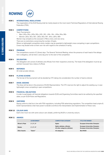

#### ROW 1 INTERNATIONAL REGULATIONS

The organization of the EUG Rowing shall be mainly based on the most recent Technical Regulations of International Rowing Federation (FISA).

#### ROW 2 COMPETITIONS

Team Tournaments:

- Men: LM1x, M1x, LM2x, M2x, LM2-, M2-, LM4-, M4-, LM4x, M4x, M8+
- Women: LW1x, W1x, W2-, LW2x, W2x, W4-, W4x, LW4x, W8+

Women may compete as the coxswain in Mens crews, and vice versa.

There are no restrictions concerning the number of boats.

Where no lightweight competition exists medals may be awarded to lightweight crews competing in open competitions. Crews may double-enter at their own risk with regard to the schedule of racing.

#### ROW 3 PROGRAM

The competitions consist of 3 (three) days. The General Technical Meeting, where the presence of each head of the delegation is obligatory, will be held 1 (one) day prior to the start of the competition.

#### ROW 4 DELEGATION

The delegation will consist of athletes and officials from their respective university. The head of the delegation must be appointed. Coxswain has a status of official.

#### ROW 5 REFEREES

OC shall provide referees.

#### ROW 6 PLAYING SCHEME

The format of the tournament will be decided by CTC taking into consideration the number of teams entered.

#### ROW 7 DRAW, SEEDING

The draw will be done in the presence of EUSA Representative. The CTC reserves the right to adjust the seeding e.g. in case lightweight crews competing in open competitions.

#### ROW 8 FINANCIAL OBLIGATIONS

In order to participate, all financial obligations towards EUSA and Organizing Committee need to be settled by the specified dates, as per EUSA Rules and Regulations.

#### ROW 9 UNIFORMS

Racing uniforms shall be in line with FISA regulations, including FISA advertising regulations. The competition head umpire & EUSA representatives shall have power to decide on/enforce the interpretation and implementation of these rules.

#### ROW 10 COLOUR OARS

Each crew must row with same colours oars (blade), preferring NUSA or university colours.

#### ROW 11 AWARDS

|                       | <b>ACHIEVEMENT</b>             | <b>COMPETITION CATEGORY</b>                                     | <b>TITLE FOR WINNER</b>                                                        |
|-----------------------|--------------------------------|-----------------------------------------------------------------|--------------------------------------------------------------------------------|
| <b>Winner's Plate</b> | $1st$ , $2nd$ , $3rd$          | <b>Eights</b>                                                   | <b>European Universities Champion</b>                                          |
| <b>Medals</b>         | $1^{st}$ , $2^{nd}$ , $3^{rd}$ | Eights (athletes, officials)<br>All other categories (athletes) | <b>European Universities Champion</b><br><b>European Universities Champion</b> |
| <b>Other Awards</b>   | "Salver"                       | All categories                                                  | <b>Best NUSA</b>                                                               |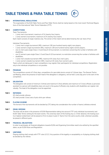## TABLE TENNIS & PARA TABLE TENNIS



#### TAB 1 INTERNATIONAL REGULATIONS

The organization of the EUG Table Tennis and Para Table Tennis shall be mainly based on the most recent Technical Regulations of the International Table Tennis Federation (ITTF).

#### TAB 2 COMPETITIONS

Team Tournaments:

- 1 (one) men's tournament, maximum of 24 (twenty-four) teams,
- 1 (one) women's tournament, maximum of 24 (twenty-four) teams.

Each match consists of single matches only. The winner of the match will be determined by the rule 'best of five'.

Individual Tournaments:

- 1 (one) men's single tournament (MS), maximum 128 (one hundred twenty-eight) men players,
- 1 (one) women's single tournament (WS), maximum 128 (one hundred twenty-eight) women players,
- one (1) men's para single Class 1-5 and Class 6-10 tournament, no restriction concerning the number of athletes with disabilities,
- one (1) women's para single Class 1-5 and Class 6-10 tournament, no restriction concerning the number of athletes with
- disabilities,
- 1 (one) men's double tournament (MD), maximum 64 (sixty-four) men's pairs,
- 1 (one) women's double tournament (WD), maximum 64 (sixty-four) women's pairs.

Teams which are taking part in team competitions may register their participants for individual competitions. Registration only to the individual competitions is not possible.

#### TAB 3 PROGRAM

The competitions consist of 5 (five) days, competitions for para table tennis consist of 3 (three) days. The General Technical Meeting, where the presence of each head of the delegation is obligatory, will be held 1 (one) day prior to the start of the competition.

#### TAB 4 DELEGATION

The delegation will consist of minimum 3 (three) and maximum 5 (five) athletes and maximum of 2 (two) officials (a personal assistant to a person with disabilities does not count in the quota of officials) only students with disabilities can register individually. The head of the delegation must be appointed.

#### TAB 5 REFEREES

OC shall provide referees. OC shall provide 2 (two) sets of polo shirts per referee.

#### TAB 6 PLAYING SCHEME

The format of the tournaments will be decided by CTC taking into consideration the number of teams/ athletes entered.

#### TAB 7 DRAW, SEEDING

The draw will be done in the presence of EUSA Representative taking into account ITTF (only individual tournaments) and EUSA Table Tennis ranking for the team events. The university team of the hosting city or, in their absence, the hosting country's highest ranked team will be placed on first (1) place in pool A. Teams from the same country shall, whenever possible, be placed in different pools.

#### TAB 8 FINANCIAL OBLIGATIONS

In order to participate, all financial obligations towards EUSA and Organizing Committee need to be settled by the specified dates, as per EUSA Rules and Regulations

#### TAB 9 UNIFORMS

Playing clothing shall comply with ITTF rules § 3.2.2. Any question of the legality or acceptability or of playing clothing shall be decided by the referee.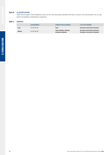#### TAB 10 CLASSIFICATION

Table Tennis players with disabilities who are not internationally classified will have to access the classification one (1) day before competition scheduled by organizers.

#### TAB 11 AWARDS

|               | <b>ACHIEVEMENT</b>            | <b>COMPETITION CATEGORY</b>                         | <b>TITLE FOR WINNER</b>                                                        |
|---------------|-------------------------------|-----------------------------------------------------|--------------------------------------------------------------------------------|
| Cups          | $1st$ , $2nd$ , $3rd$ , $3rd$ | Team                                                | <b>European Universities Champion</b>                                          |
| <b>Medals</b> | $1st$ , $2nd$ , $3rd$ , $3rd$ | Team (athletes, officials)<br>Individual (athletes) | <b>European Universities Champion</b><br><b>European Universities Champion</b> |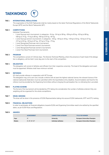## **TAEKWONDO**

#### TAE 1 **INTERNATIONAL REGULATIONS**

The organization of the EUG Taekwondo shall be mainly based on the latest Technical Regulations of the World Taekwondo Europe (WTE) and the World Taekwondo (WT).

#### TAE 2 COMPETITIONS

Individual Tournaments:

- 1 (one) Kyorugi men's tournament, in categories: -54 kg, +54 kg to 58 kg, +58 kg to 63 kg, +63 kg to 68 kg, +68 kg to 74 kg, +74 kg to 80 kg, +80 kg to 87 kg, +87 kg,
- 1 (one) Kyorugi women's tournament, in categories: -46 kg, +46 kg to 49 kg, +49 kg to 53 kg, +53 kg to 57 kg, +57 kg to 62 kg, +62 kg to 67 kg, +67 kg to 73 kg, +73 kg,
- 1 (one) Recognized Poomsae men's tournament,
- 1 (one) Free-Style Poomsae women's tournament,
- 1 (one) Recognized Poomsae women's tournament,
- 1 (one) Free-Style Poomsae men's tournament.

#### TAE 3 PROGRAM

The competitions consist of 3 (three) days. The General Technical Meeting, where the presence of each head of the delegation is obligatory, will be held 1 (one) day prior to the start of the competition.

#### TAE 4 DELEGATION

The delegation will consist of athletes and officials from their respective university. The head of the delegation and coach must be appointed. Athletes shall have minimum red belt.

#### TAE 5 REFEREES

OC shall provide referees in cooperation with WT Europe.

The delegation may, at its own cost, include a referee with at least the highest national license; the relevant license of the national taekwondo federation must be submitted within the Quantitative entry deadline. Accommodation and food for the referee must be provided by the Organizing Committee without charging the participation fee; no refereeing fee is provided.

#### TAE 6 PLAYING SCHEME

The format of the tournament will be decided by CTC taking into consideration the number of athletes entered. Only one weighting will be organized for the whole competitions.

#### TAE 7 DRAW, SEEDING

The draw will be done in the presence of EUSA Representative taking into account EUSA taekwondo, WTF and ETU ranking.

#### TAE 8 FINANCIAL OBLIGATIONS

In order to participate, all financial obligations towards EUSA and Organizing Committee need to be settled by the specified dates, as per EUSA Rules and Regulations

#### TAE 9 AWARDS

|        | <b>ACHIEVEMENT</b>            | <b>COMPETITION CATEGORY</b> | <b>TITLE FOR WINNER</b>               |
|--------|-------------------------------|-----------------------------|---------------------------------------|
| Cups   | 1 <sub>st</sub>               | University                  | <b>European Universities Champion</b> |
| Medals | $1st$ , $2nd$ , $3rd$ , $3rd$ | Individual (athletes)       | <b>European Universities Champion</b> |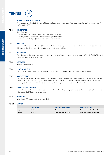

#### TEN 1 INTERNATIONAL REGULATIONS

The organization of the EUG Tennis shall be mainly based on the most recent Technical Regulations of the International Tennis Federation (ITF).

#### TEN 2 COMPETITIONS

Team Tournaments:

- 1 (one) men's tournament, maximum of 24 (twenty-four) teams,
- 1 (one) women's tournament, maximum of 20 (twenty) teams.

Each tie will include 2 (two) singles and 1 (one) doubles match.

#### TEN 3 PROGRAM

The competitions consist of 6 (days) The General Technical Meeting, where the presence of each head of the delegation is obligatory, will be held 1 (one) day prior to the start of the competition.

#### TEN 4 DELEGATION

The delegation will consist of minimum 2 (two) and maximum 4 (four) athletes and maximum of 3 (three) officials. The head of the delegation must be appointed.

#### TEN 5 REFEREES

OC shall provide referees.

#### TEN 6 PLAYING SCHEME

The format of the tournament will be decided by CTC taking into consideration the number of teams entered.

#### TEN 7 DRAW, SEEDING

The draw will be done in the presence of EUSA Representative taking into account ATP/WTA and EUSA Tennis ranking. The university team of the hosting city or, in their absence, the hosting country's highest ranked team will be placed on first (1) place in pool A. Teams from the same country shall, whenever possible, be placed in different pools.

#### TEN 8 FINANCIAL OBLIGATIONS

In order to participate, all financial obligations towards EUSA and Organizing Committee need to be settled by the specified dates, as per EUSA Rules and Regulations

#### TEN 9 UNIFORMS

According to ITF tournaments code of conduct.

#### TEN 10 AWARDS

|        | <b>ACHIEVEMENT</b>    | <b>COMPETITION CATEGORY</b> | <b>TITLE FOR WINNER</b>               |
|--------|-----------------------|-----------------------------|---------------------------------------|
| Cups   | $1st$ , $2nd$ , $3rd$ | Team                        | <b>European Universities Champion</b> |
| Medals | $1st$ , $2nd$ , $3rd$ | Team (athletes, officials)  | <b>European Universities Champion</b> |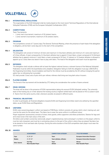

#### VOL 1 INTERNATIONAL REGULATIONS

The organization of the EUG Volleyball shall be mainly based on the most recent Technical Regulations of the International Volleyball Federation (FIVB) and the European Volleyball Confederation (CEV).

#### VOL 2 COMPETITIONS

Team Tournaments:

- $\cdot$  1 (one) men's tournament, maximum of 16 (sixteen) teams,
- 1 (one) women's tournament, maximum of 16 (sixteen) teams.

#### VOL 3 PROGRAM

The competitions consist of 7 (seven) days.The General Technical Meeting, where the presence of each head of the delegation is obligatory, will be held 1 (one) day prior to the start of the competition.

#### VOL 4 DELEGATION

The delegation will consist of minimum 10 (ten) and maximum 14 (fourteen) athletes and minimum of 1 (one) and maximum of 5 (five) officials. A team composed by 14 (fourteen) athletes has to appoint 2 (two) libero, a team composed of 13 (thirteen) athletes has to appoint minimum 1 (one) libero, a team composed of 10 (ten), 11 (eleven) or 12 (twelve) athletes is allowed to appoint up to 2 (two) libero but doesn't have to play with libero. The head of the delegation and coach must be appointed.

#### VOL 5 REFEREES

The delegation shall include a referee with at least the highest national license; a relevant license of the National Volleyball Federation must be within the Quantitative entry deadline. Delegation failing to fulfil this obligation must pay 1.000 EUR to the Organizing Committee. Accommodation and food for the referee must be provided by the OC without charging the participation fee; no refereeing fee is provided.

OC shall provide 2 (two) sets of polo shirts per referee; referees shall bring own long dark colour trousers.

#### VOL 6 PLAYING SCHEME

The format of the tournament will be decided by CTC taking into consideration the number of teams entered.

#### VOL 7 DRAW, SEEDING

The draw will be done in the presence of EUSA representative taking into account EUSA Volleyball ranking. The university team of the hosting city or in their absence the hosting country's highest ranked team will be placed on first (1) place in pool A. Teams from the same country shall, whenever possible, be placed in different pools.

#### VOL 8 FINANCIAL OBLIGATIONS

In order to participate, all financial obligations towards EUSA and Organizing Committee need to be settled by the specified dates, as per EUSA Rules and Regulations.

#### VOL 9 UNIFORMS

EUSA rules concerning players' uniform are based on FIVB Rules. Uniform consists of a jersey (shirt), short, training suit, and must be the same for the whole team. The libero has to wear the same uniform in a different colour.

Player equipment (accessories) consists of shoes, knee-guards, ankle supporters and elbow protections. Sleeves for legs and arms have to be in the main colour of the shirt.

All letters and numbers (university name/code, player's registered jersey name and player's numbers) on the player uniforms must be Latin characters and must be in contrasting colours to the part of the uniform where they are placed. Numbers has to be placed on front and back side of jerseys. During the entire duration of the EUG competition each player must wear the same number.

#### VOL 10 AWARDS

|                     | <b>ACHIEVEMENT</b>                              | <b>COMPETITION CATEGORY</b> | <b>TITLE FOR WINNER</b>               |
|---------------------|-------------------------------------------------|-----------------------------|---------------------------------------|
| Cups                | $1st$ , $2nd$ , $3rd$                           | Team                        | <b>European Universities Champion</b> |
| <b>Medals</b>       | $1^{st}$ , $2^{nd}$ , $3^{rd}$                  | Team (athletes, officials)  | <b>European Universities Champion</b> |
| <b>Other Awards</b> | <b>Fair Play</b><br><b>Most Valuable Player</b> | Team<br>Athlete             | Winner<br>Most Valuable Player        |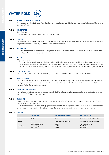

#### WAP 1 INTERNATIONAL REGULATIONS

The organization of the EUG Water Polo shall be mainly based on the latest technical regulations of International Swimming Federation (FINA).

#### WAP 2 COMPETITION

Team Tournament:

 $\cdot$  1 (one) men's tournament, maximum of 12 (twelve) teams,

#### WAP 3 PROGRAM

The competition consists of 6 (six) days. The General Technical Meeting, where the presence of each head of the delegation is obligatory, will be held 1 (one) day prior to the start of the competition.

#### WAP 4 DELEGATION

The delegation will consist of minimum 10 (ten) and maximum 13 (thirteen) athletes and minimum one (1) and maximum 4 (four) officials. The head of the delegation must be appointed.

#### WAP 5 REFEREES

OC shall provide referee.

• The delegation may, at its own cost, include a referee with at least the highest national license; the relevant license of the national water polo federation must be submitted within the Quantitative entry deadline. Accommodation and food for the referee must be provided by the Organizing Committee without charging the participation fee; no refereeing fee is provided.

#### WAP 6 PLAYING SCHEME

The format of the tournament will be decided by CTC taking into consideration the number of teams entered.

#### WAP 7 DRAW, SEEDING

The draw will be done in the presence of EUSA representative. The university team of the hosting city or in their absence the hosting country's highest ranked team will be placed on first (1) place in pool A. Teams from the same country shall, whenever possible, be placed in different pools.

#### WAP 8 FINANCIAL OBLIGATIONS

In order to participate, all financial obligations towards EUSA and Organizing Committee need to be settled by the specified dates, as per EUSA Rules and Regulations

#### WAP 9 UNIFORMS

EUSA rules concerning players' swimsuits and caps are based on FINA Rules for sports material, team equipment & advertising guidelines in the latest version.

All letters and numbers (university code, player's numbers) on the player caps and warming up suits must be in Latin characters and must be in contrasting colours to the part of the uniform and/or warming up suit where they are placed.

#### WAP 10 AWARDS

|                     | <b>ACHIEVEMENT</b>                                                         | <b>COMPETITION CATEGORY</b>          | <b>TITLE FOR WINNER</b>                                                    |
|---------------------|----------------------------------------------------------------------------|--------------------------------------|----------------------------------------------------------------------------|
| Cups                | $1st$ , $2nd$ , $3rd$                                                      | Team                                 | <b>European Universities Champion</b>                                      |
| <b>Medals</b>       | $1^{st}$ , $2^{nd}$ , $3^{rd}$                                             | Team (athletes, officials)           | <b>European Universities Champion</b>                                      |
| <b>Other Awards</b> | <b>Most Valuable Player</b><br><b>Best Goalkeeper</b><br><b>Top Scorer</b> | <b>Athlete</b><br>Athlete<br>Athlete | <b>Most Valuable Player</b><br><b>Best Goalkeeper</b><br><b>Top Scorer</b> |